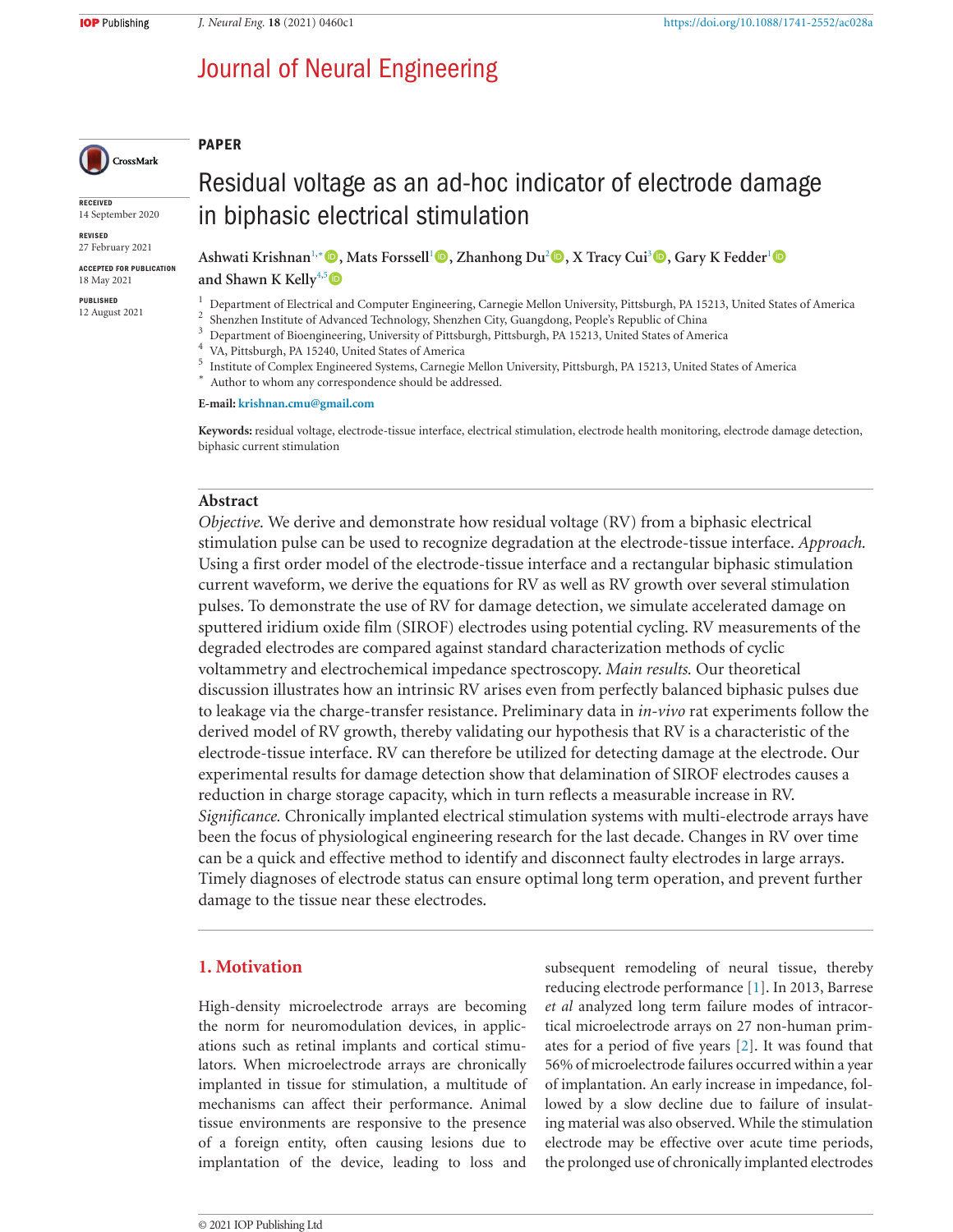# Journal of Neural Engineering



**RECEIVED** 14 September 2020

**REVISED** 27 February 2021

**ACCEPTED FOR PUBLICATION** 18 May 2021

PUBLISHED 12 August 2021

# Residual voltage as an ad-hoc indicator of electrode damage in biphasic electrical stimulation

**!SHWATI +RISHNAN** <sup>∗</sup> B**-ATS &ORSSELL** B**:HANHONG \$U** B**8 4RACY #UI** B**'ARY + &EDDER** B and Shawn K Kelly<sup>4,5</sup>

 $^1$  Department of Electrical and Computer Engineering, Carnegie Mellon University, Pittsburgh, PA 15213, United States of America $^2$ Shenzhen Institute of Advanced Technology, Shenzhen City, Guangdong, People's Republic

\* Author to whom any correspondence should be addressed.

E-mail: krishnan.cmu@gmail.com

Keywords: residual voltage, electrode-tissue interface, electrical stimulation, electrode health monitoring, electrode damage detection, biphasic current stimulation

## Abstract

**PAPER** 

*Objective*. We derive and demonstrate how residual voltage (RV) from a biphasic electrical stimulation pulse can be used to recognize degradation at the electrode-tissue interface. Approach. Using a first order model of the electrode-tissue interface and a rectangular biphasic stimulation current waveform, we derive the equations for RV as well as RV growth over several stimulation pulses. To demonstrate the use of RV for damage detection, we simulate accelerated damage on sputtered iridium oxide film (SIROF) electrodes using potential cycling. RV measurements of the degraded electrodes are compared against standard characterization methods of cyclic voltammetry and electrochemical impedance spectroscopy. Main results. Our theoretical discussion illustrates how an intrinsic RV arises even from perfectly balanced biphasic pulses due to leakage via the charge-transfer resistance. Preliminary data in *in-vivo* rat experiments follow the derived model of RV growth, thereby validating our hypothesis that RV is a characteristic of the electrode-tissue interface. RV can therefore be utilized for detecting damage at the electrode. Our experimental results for damage detection show that delamination of SIROF electrodes causes a reduction in charge storage capacity, which in turn reflects a measurable increase in RV. *Significance*. Chronically implanted electrical stimulation systems with multi-electrode arrays have been the focus of physiological engineering research for the last decade. Changes in RV over time can be a quick and effective method to identify and disconnect faulty electrodes in large arrays. Timely diagnoses of electrode status can ensure optimal long term operation, and prevent further damage to the tissue near these electrodes.

# **1.** Motivation

High-density microelectrode arrays are becoming the norm for neuromodulation devices, in applications such as retinal implants and cortical stimulators. When microelectrode arrays are chronically implanted in tissue for stimulation, a multitude of mechanisms can affect their performance. Animal tissue environments are responsive to the presence of a foreign entity, often causing lesions due to implantation of the device, leading to loss and

subsequent remodeling of neural tissue, thereby reducing electrode performance  $[1]$ . In 2013, Barrese *et al* analyzed long term failure modes of intracortical microelectrode arrays on 27 non-human primates for a period of five years  $[2]$ . It was found that 56% of microelectrode failures occurred within a year of implantation. An early increase in impedance, followed by a slow decline due to failure of insulating material was also observed. While the stimulation electrode may be effective over acute time periods, the prolonged use of chronically implanted electrodes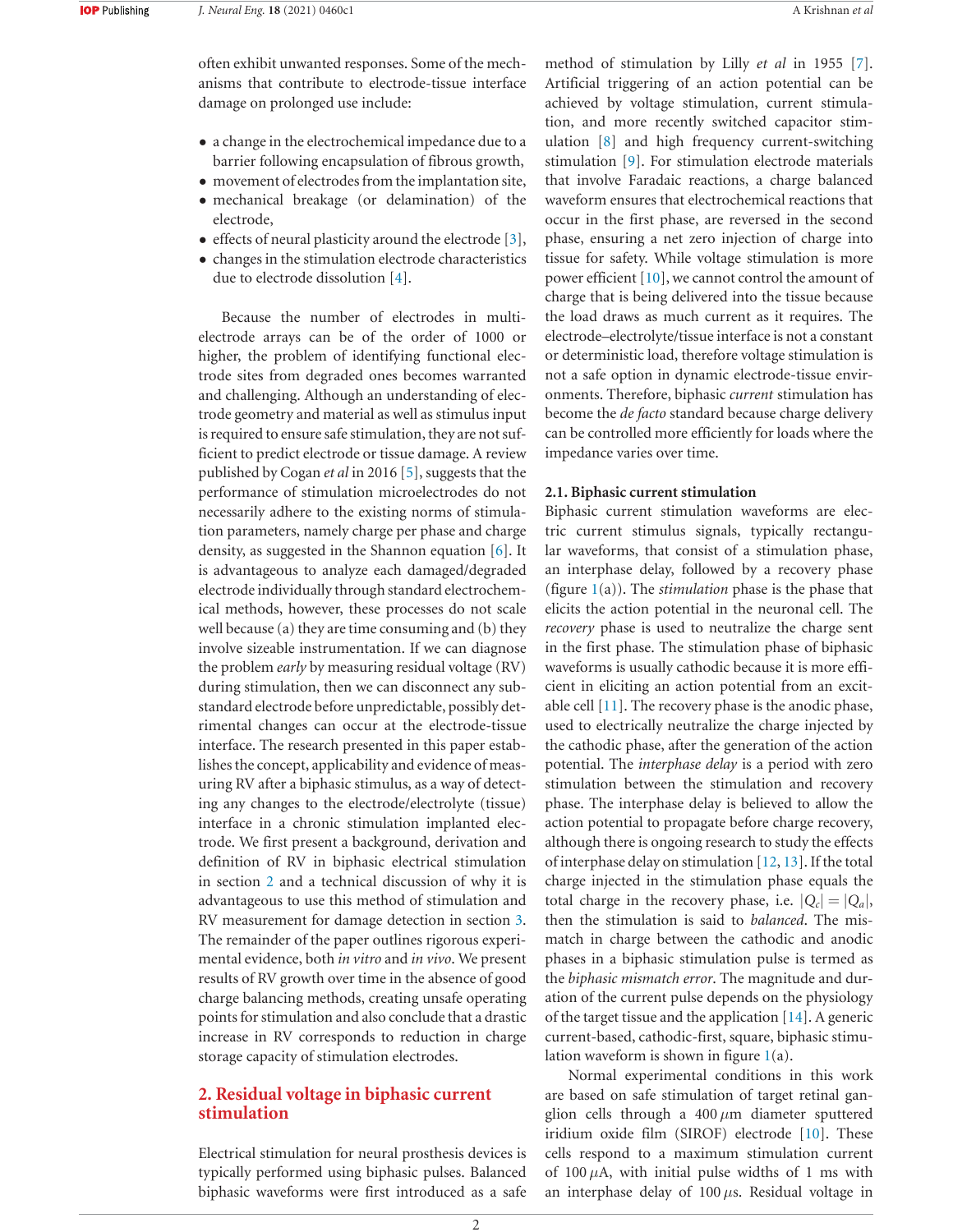often exhibit unwanted responses. Some of the mechanisms that contribute to electrode-tissue interface damage on prolonged use include:

- a change in the electrochemical impedance due to a barrier following encapsulation of fibrous growth,
- movement of electrodes from the implantation site,
- mechanical breakage (or delamination) of the electrode,
- effects of neural plasticity around the electrode  $[3]$ ,
- changes in the stimulation electrode characteristics due to electrode dissolution  $[4]$ .

Because the number of electrodes in multielectrode arrays can be of the order of 1000 or higher, the problem of identifying functional electrode sites from degraded ones becomes warranted and challenging. Although an understanding of electrode geometry and material as well as stimulus input is required to ensure safe stimulation, they are not sufficient to predict electrode or tissue damage. A review published by Cogan et al in 2016 [5], suggests that the performance of stimulation microelectrodes do not necessarily adhere to the existing norms of stimulation parameters, namely charge per phase and charge density, as suggested in the Shannon equation  $[6]$ . It is advantageous to analyze each damaged/degraded electrode individually through standard electrochemical methods, however, these processes do not scale well because (a) they are time consuming and (b) they involve sizeable instrumentation. If we can diagnose the problem *early* by measuring residual voltage (RV) during stimulation, then we can disconnect any substandard electrode before unpredictable, possibly detrimental changes can occur at the electrode-tissue interface. The research presented in this paper establishes the concept, applicability and evidence of measuring RV after a biphasic stimulus, as a way of detecting any changes to the electrode/electrolyte (tissue) interface in a chronic stimulation implanted electrode. We first present a background, derivation and definition of RV in biphasic electrical stimulation in section 2 and a technical discussion of why it is advantageous to use this method of stimulation and RV measurement for damage detection in section 3. The remainder of the paper outlines rigorous experimental evidence, both *in vitro* and *in vivo*. We present results of RV growth over time in the absence of good charge balancing methods, creating unsafe operating points for stimulation and also conclude that a drastic increase in RV corresponds to reduction in charge storage capacity of stimulation electrodes.

# **2. Residual voltage in biphasic current STIMULATION**

Electrical stimulation for neural prosthesis devices is typically performed using biphasic pulses. Balanced biphasic waveforms were first introduced as a safe method of stimulation by Lilly *et al* in 1955 [7]. Artificial triggering of an action potential can be achieved by voltage stimulation, current stimulation, and more recently switched capacitor stimulation  $[8]$  and high frequency current-switching stimulation [9]. For stimulation electrode materials that involve Faradaic reactions, a charge balanced waveform ensures that electrochemical reactions that occur in the first phase, are reversed in the second phase, ensuring a net zero injection of charge into tissue for safety. While voltage stimulation is more power efficient  $[10]$ , we cannot control the amount of charge that is being delivered into the tissue because the load draws as much current as it requires. The electrode–electrolyte/tissue interface is not a constant or deterministic load, therefore voltage stimulation is not a safe option in dynamic electrode-tissue environments. Therefore, biphasic *current* stimulation has become the *de facto* standard because charge delivery can be controlled more efficiently for loads where the impedance varies over time.

## **2.1. Biphasic current stimulation**

Biphasic current stimulation waveforms are electric current stimulus signals, typically rectangular waveforms, that consist of a stimulation phase, an interphase delay, followed by a recovery phase (figure  $1(a)$ ). The *stimulation* phase is the phase that elicits the action potential in the neuronal cell. The *RECOVETY* phase is used to neutralize the charge sent in the first phase. The stimulation phase of biphasic waveforms is usually cathodic because it is more efficient in eliciting an action potential from an excitable cell  $[11]$ . The recovery phase is the anodic phase, used to electrically neutralize the charge injected by the cathodic phase, after the generation of the action potential. The *interphase delay* is a period with zero stimulation between the stimulation and recovery phase. The interphase delay is believed to allow the action potential to propagate before charge recovery, although there is ongoing research to study the effects of interphase delay on stimulation  $[12, 13]$ . If the total charge injected in the stimulation phase equals the total charge in the recovery phase, i.e.  $|Q_c| = |Q_a|$ , then the stimulation is said to *balanced*. The mismatch in charge between the cathodic and anodic phases in a biphasic stimulation pulse is termed as the *biphasic mismatch error*. The magnitude and duration of the current pulse depends on the physiology of the target tissue and the application  $[14]$ . A generic current-based, cathodic-first, square, biphasic stimulation waveform is shown in figure  $1(a)$ .

Normal experimental conditions in this work are based on safe stimulation of target retinal ganglion cells through a  $400 \mu m$  diameter sputtered iridium oxide film  $(SIROF)$  electrode  $[10]$ . These cells respond to a maximum stimulation current of 100  $\mu$ A, with initial pulse widths of 1 ms with an interphase delay of  $100 \mu s$ . Residual voltage in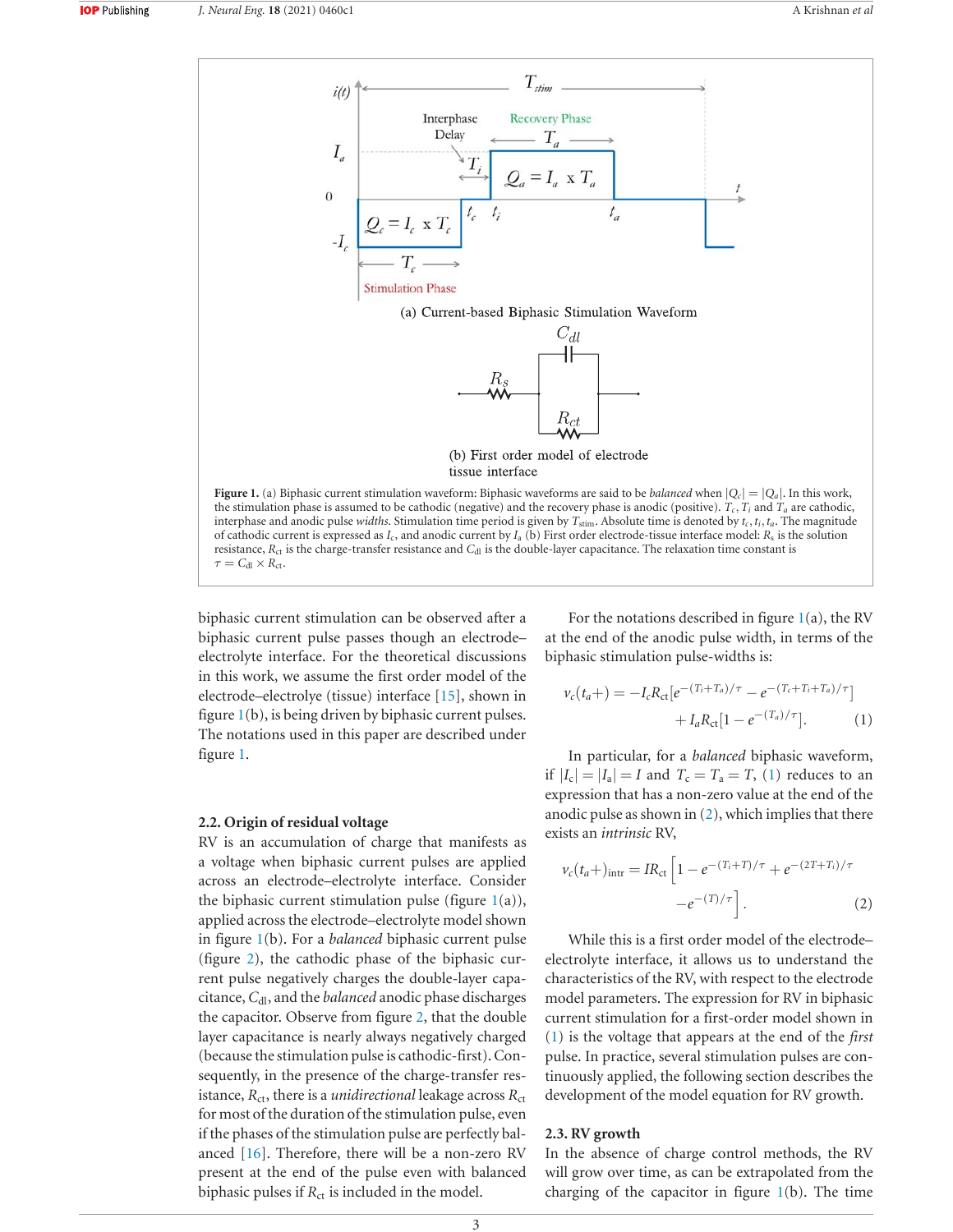

biphasic current stimulation can be observed after a biphasic current pulse passes though an electrodeelectrolyte interface. For the theoretical discussions in this work, we assume the first order model of the electrode–electrolye (tissue) interface  $[15]$ , shown in figure  $1(b)$ , is being driven by biphasic current pulses. The notations used in this paper are described under figure 1.

## **2.2. Origin of residual voltage**

RV is an accumulation of charge that manifests as a voltage when biphasic current pulses are applied across an electrode-electrolyte interface. Consider the biphasic current stimulation pulse (figure  $1(a)$ ), applied across the electrode-electrolyte model shown in figure 1(b). For a *balanced* biphasic current pulse (figure 2), the cathodic phase of the biphasic current pulse negatively charges the double-layer capacitance, C<sub>dl</sub>, and the *balanced* anodic phase discharges the capacitor. Observe from figure 2, that the double layer capacitance is nearly always negatively charged (because the stimulation pulse is cathodic-first). Consequently, in the presence of the charge-transfer resistance,  $R_{\text{ct}}$ , there is a *unidirectional* leakage across  $R_{\text{ct}}$ for most of the duration of the stimulation pulse, even if the phases of the stimulation pulse are perfectly balanced  $[16]$ . Therefore, there will be a non-zero RV present at the end of the pulse even with balanced biphasic pulses if  $R_{\rm ct}$  is included in the model.

For the notations described in figure  $1(a)$ , the RV at the end of the anodic pulse width, in terms of the biphasic stimulation pulse-widths is:

$$
\nu_c(t_a+) = -I_c R_{\rm ct} [e^{-(T_i+T_a)/\tau} - e^{-(T_c+T_i+T_a)/\tau}] + I_a R_{\rm ct} [1 - e^{-(T_a)/\tau}].
$$
 (1)

In particular, for a *balanced* biphasic waveform, if  $|I_c| = |I_a| = I$  and  $T_c = T_a = T$ , (1) reduces to an expression that has a non-zero value at the end of the anodic pulse as shown in  $(2)$ , which implies that there exists an *intrinsic* RV,

$$
\nu_c(t_a+)_{\text{intr}} = IR_{\text{ct}} \left[ 1 - e^{-(T_i+T)/\tau} + e^{-(2T+T_i)/\tau} - e^{-(T)/\tau} \right].
$$
\n(2)

While this is a first order model of the electrodeelectrolyte interface, it allows us to understand the characteristics of the RV, with respect to the electrode model parameters. The expression for RV in biphasic current stimulation for a first-order model shown in (1) is the voltage that appears at the end of the *first* pulse. In practice, several stimulation pulses are continuously applied, the following section describes the development of the model equation for RV growth.

## 2.3. RV growth

In the absence of charge control methods, the RV will grow over time, as can be extrapolated from the charging of the capacitor in figure  $1(b)$ . The time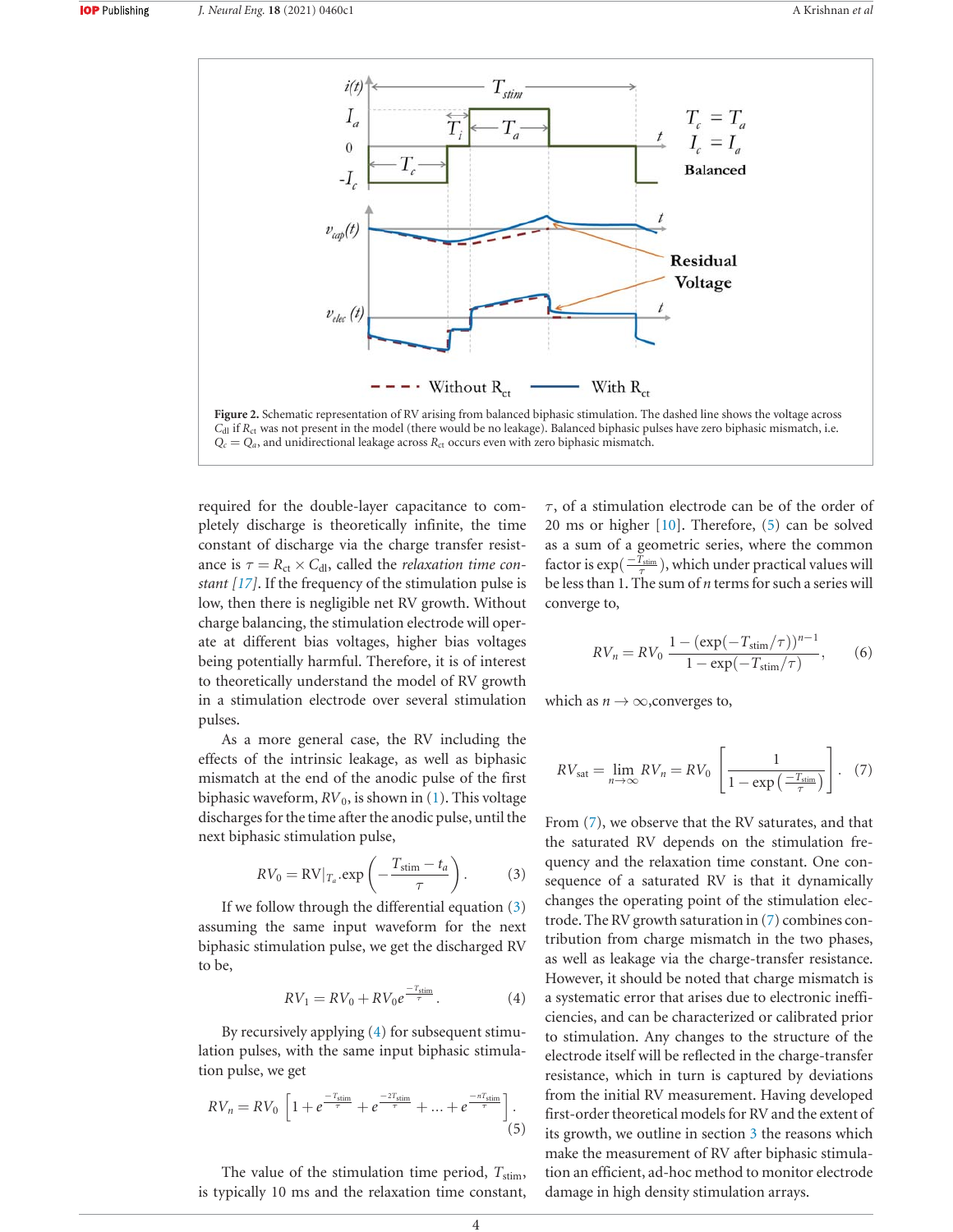

required for the double-layer capacitance to completely discharge is theoretically infinite, the time constant of discharge via the charge transfer resistance is  $\tau = R_{\text{ct}} \times C_{\text{dl}}$ , called the *relaxation time constant [17]*. If the frequency of the stimulation pulse is low, then there is negligible net RV growth. Without charge balancing, the stimulation electrode will operate at different bias voltages, higher bias voltages being potentially harmful. Therefore, it is of interest to theoretically understand the model of RV growth in a stimulation electrode over several stimulation pulses.

As a more general case, the RV including the effects of the intrinsic leakage, as well as biphasic mismatch at the end of the anodic pulse of the first biphasic waveform,  $RV_0$ , is shown in (1). This voltage discharges for the time after the anodic pulse, until the next biphasic stimulation pulse,

$$
RV_0 = \text{RV}|_{T_a} \cdot \exp\left(-\frac{T_{\text{stim}} - t_a}{\tau}\right). \tag{3}
$$

If we follow through the differential equation  $(3)$ assuming the same input waveform for the next biphasic stimulation pulse, we get the discharged RV to be,

$$
RV_1 = RV_0 + RV_0 e^{\frac{-T_{\text{stim}}}{\tau}}.
$$
 (4)

By recursively applying  $(4)$  for subsequent stimulation pulses, with the same input biphasic stimulation pulse, we get

$$
RV_n = RV_0 \left[ 1 + e^{\frac{-T_{\text{stim}}}{\tau}} + e^{\frac{-2T_{\text{stim}}}{\tau}} + \dots + e^{\frac{-nT_{\text{sim}}}{\tau}} \right].
$$
\n(5)

The value of the stimulation time period,  $T_{\text{stim}}$ , is typically 10 ms and the relaxation time constant,

 $\tau$ , of a stimulation electrode can be of the order of 20 ms or higher  $[10]$ . Therefore,  $(5)$  can be solved as a sum of a geometric series, where the common factor is  $\exp(\frac{-T_{\text{stim}}}{\tau})$ , which under practical values will be less than 1. The sum of *n* terms for such a series will converge to,

$$
RV_n = RV_0 \frac{1 - (\exp(-T_{\text{stim}}/\tau))^{n-1}}{1 - \exp(-T_{\text{stim}}/\tau)},
$$
 (6)

which as  $n \to \infty$ , converges to,

$$
RV_{\text{sat}} = \lim_{n \to \infty} RV_n = RV_0 \left[ \frac{1}{1 - \exp\left(\frac{-T_{\text{stim}}}{\tau}\right)} \right]. \quad (7)
$$

From  $(7)$ , we observe that the RV saturates, and that the saturated RV depends on the stimulation frequency and the relaxation time constant. One consequence of a saturated RV is that it dynamically changes the operating point of the stimulation electrode. The RV growth saturation in  $(7)$  combines contribution from charge mismatch in the two phases, as well as leakage via the charge-transfer resistance. However, it should be noted that charge mismatch is a systematic error that arises due to electronic inefficiencies, and can be characterized or calibrated prior to stimulation. Any changes to the structure of the electrode itself will be reflected in the charge-transfer resistance, which in turn is captured by deviations from the initial RV measurement. Having developed first-order theoretical models for RV and the extent of its growth, we outline in section 3 the reasons which make the measurement of RV after biphasic stimulation an efficient, ad-hoc method to monitor electrode damage in high density stimulation arrays.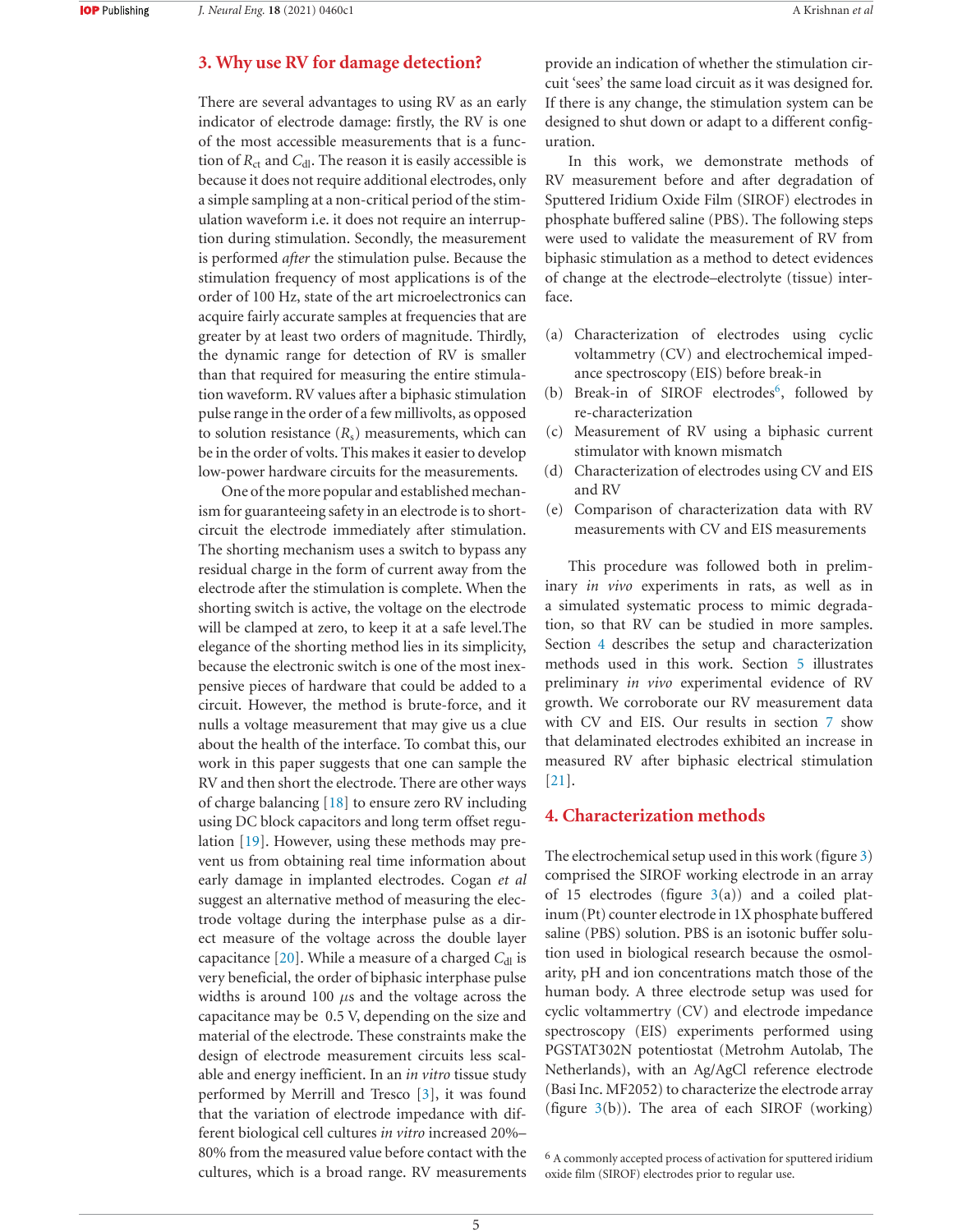# **3. Why use RV for damage detection?**

There are several advantages to using RV as an early indicator of electrode damage: firstly, the RV is one of the most accessible measurements that is a function of  $R_{\text{ct}}$  and  $C_{\text{dl}}$ . The reason it is easily accessible is because it does not require additional electrodes, only a simple sampling at a non-critical period of the stimulation waveform i.e. it does not require an interruption during stimulation. Secondly, the measurement is performed *after* the stimulation pulse. Because the stimulation frequency of most applications is of the order of 100 Hz, state of the art microelectronics can acquire fairly accurate samples at frequencies that are greater by at least two orders of magnitude. Thirdly, the dynamic range for detection of RV is smaller than that required for measuring the entire stimulation waveform. RV values after a biphasic stimulation pulse range in the order of a few millivolts, as opposed to solution resistance  $(R<sub>s</sub>)$  measurements, which can be in the order of volts. This makes it easier to develop low-power hardware circuits for the measurements.

One of the more popular and established mechanism for guaranteeing safety in an electrode is to shortcircuit the electrode immediately after stimulation. The shorting mechanism uses a switch to bypass any residual charge in the form of current away from the electrode after the stimulation is complete. When the shorting switch is active, the voltage on the electrode will be clamped at zero, to keep it at a safe level. The elegance of the shorting method lies in its simplicity, because the electronic switch is one of the most inexpensive pieces of hardware that could be added to a circuit. However, the method is brute-force, and it nulls a voltage measurement that may give us a clue about the health of the interface. To combat this, our work in this paper suggests that one can sample the RV and then short the electrode. There are other ways of charge balancing  $[18]$  to ensure zero RV including using DC block capacitors and long term offset regulation  $[19]$ . However, using these methods may prevent us from obtaining real time information about early damage in implanted electrodes. Cogan et al suggest an alternative method of measuring the electrode voltage during the interphase pulse as a direct measure of the voltage across the double layer capacitance [20]. While a measure of a charged *C*<sub>dl</sub> is very beneficial, the order of biphasic interphase pulse widths is around 100  $\mu$ s and the voltage across the capacitance may be 0.5 V, depending on the size and material of the electrode. These constraints make the design of electrode measurement circuits less scalable and energy inefficient. In an *in vitro* tissue study performed by Merrill and Tresco  $[3]$ , it was found that the variation of electrode impedance with different biological cell cultures *in vitro* increased 20%– 80% from the measured value before contact with the cultures, which is a broad range. RV measurements

provide an indication of whether the stimulation circuit 'sees' the same load circuit as it was designed for. If there is any change, the stimulation system can be designed to shut down or adapt to a different configuration.

In this work, we demonstrate methods of RV measurement before and after degradation of Sputtered Iridium Oxide Film (SIROF) electrodes in phosphate buffered saline (PBS). The following steps were used to validate the measurement of RV from biphasic stimulation as a method to detect evidences of change at the electrode-electrolyte (tissue) interface.

- (a) Characterization of electrodes using cyclic voltammetry (CV) and electrochemical impedance spectroscopy (EIS) before break-in
- (b) Break-in of SIROF electrodes<sup>6</sup>, followed by re-characterization
- (c) Measurement of RV using a biphasic current stimulator with known mismatch
- (d) Characterization of electrodes using CV and EIS and RV
- $(e)$  Comparison of characterization data with RV measurements with CV and EIS measurements

This procedure was followed both in preliminary *in vivo* experiments in rats, as well as in a simulated systematic process to mimic degradation, so that RV can be studied in more samples. Section 4 describes the setup and characterization methods used in this work. Section 5 illustrates preliminary *in vivo* experimental evidence of RV growth. We corroborate our RV measurement data with CV and EIS. Our results in section 7 show that delaminated electrodes exhibited an increase in measured RV after biphasic electrical stimulation  $[21]$ .

# **4. Characterization methods**

The electrochemical setup used in this work (figure  $3$ ) comprised the SIROF working electrode in an array of 15 electrodes (figure  $3(a)$ ) and a coiled platinum (Pt) counter electrode in 1X phosphate buffered saline (PBS) solution. PBS is an isotonic buffer solution used in biological research because the osmolarity, pH and ion concentrations match those of the human body. A three electrode setup was used for cyclic voltammertry (CV) and electrode impedance spectroscopy (EIS) experiments performed using PGSTAT302N potentiostat (Metrohm Autolab, The Netherlands), with an Ag/AgCl reference electrode (Basi Inc. MF2052) to characterize the electrode array (figure  $3(b)$ ). The area of each SIROF (working)

<sup>&</sup>lt;sup>6</sup> A commonly accepted process of activation for sputtered iridium oxide film (SIROF) electrodes prior to regular use.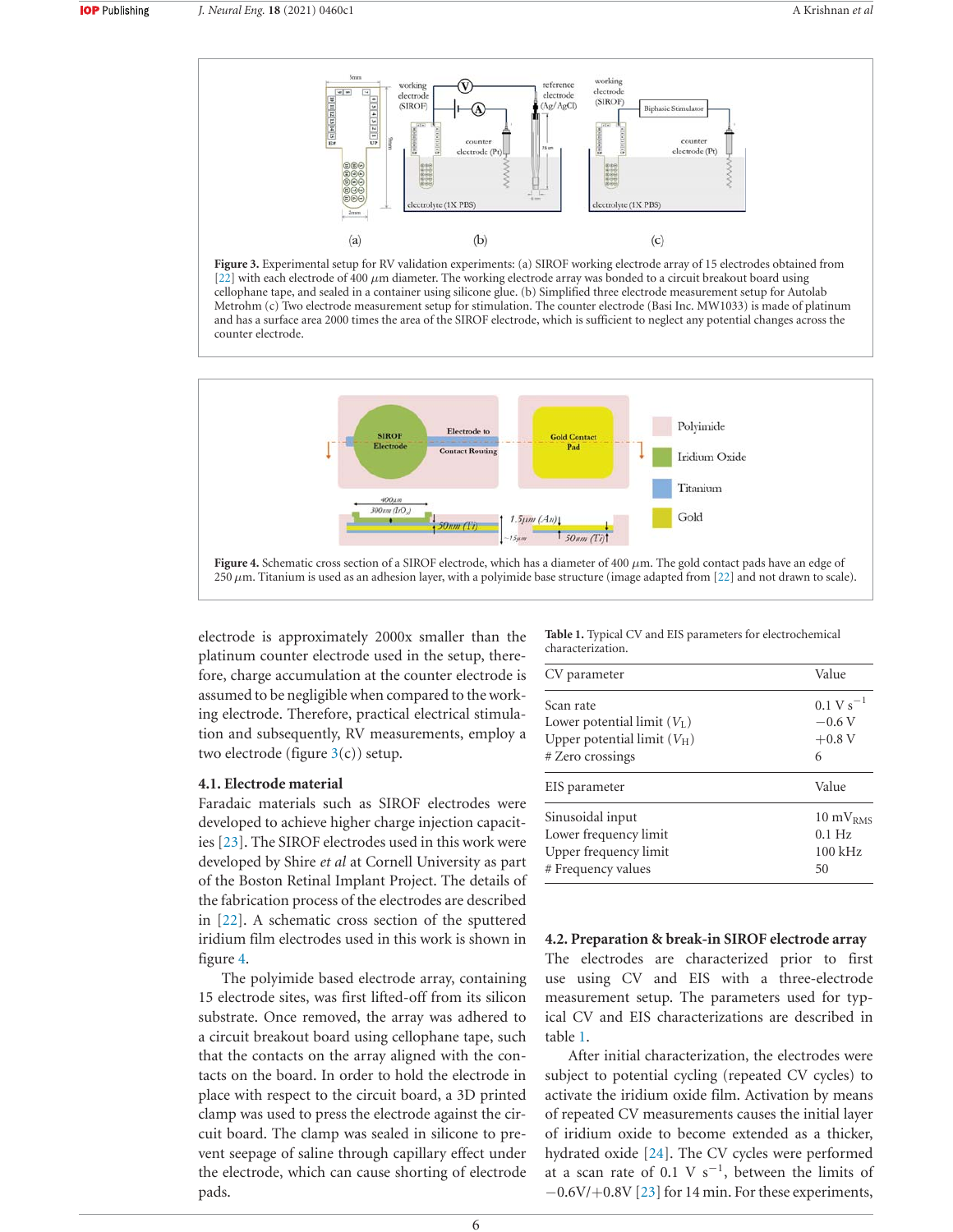

Figure 3. Experimental setup for RV validation experiments: (a) SIROF working electrode array of 15 electrodes obtained from [22] with each electrode of 400  $\mu$ m diameter. The working electrode array was bonded to a circuit breakout board using cellophane tape, and sealed in a container using silicone glue. (b) Simplified three electrode measurement setup for Autolab Metrohm (c) Two electrode measurement setup for stimulation. The counter electrode (Basi Inc. MW1033) is made of platinum and has a surface area 2000 times the area of the SIROF electrode, which is sufficient to neglect any potential changes across the counter electrode.



electrode is approximately 2000x smaller than the platinum counter electrode used in the setup, therefore, charge accumulation at the counter electrode is assumed to be negligible when compared to the working electrode. Therefore, practical electrical stimulation and subsequently, RV measurements, employ a two electrode (figure  $3(c)$ ) setup.

#### **4.1. Electrode material**

Faradaic materials such as SIROF electrodes were developed to achieve higher charge injection capacities  $[23]$ . The SIROF electrodes used in this work were developed by Shire *et al* at Cornell University as part of the Boston Retinal Implant Project. The details of the fabrication process of the electrodes are described in  $[22]$ . A schematic cross section of the sputtered iridium film electrodes used in this work is shown in figure 4.

The polyimide based electrode array, containing 15 electrode sites, was first lifted-off from its silicon substrate. Once removed, the array was adhered to a circuit breakout board using cellophane tape, such that the contacts on the array aligned with the contacts on the board. In order to hold the electrode in place with respect to the circuit board, a 3D printed clamp was used to press the electrode against the circuit board. The clamp was sealed in silicone to prevent seepage of saline through capillary effect under the electrode, which can cause shorting of electrode pads.

Table 1. Typical CV and EIS parameters for electrochemical characterization.

| CV parameter                  | Value                  |
|-------------------------------|------------------------|
| Scan rate                     | $0.1 \text{ V s}^{-1}$ |
| Lower potential limit $(V_L)$ | $-0.6V$                |
| Upper potential limit $(V_H)$ | $+0.8$ V               |
| # Zero crossings              | 6                      |
| EIS parameter                 | Value                  |
| Sinusoidal input              | $10 \text{ mV}_{RMS}$  |
| Lower frequency limit         | $0.1$ Hz               |
| Upper frequency limit         | $100 \text{ kHz}$      |
| # Frequency values            | 50                     |

# 4.2. Preparation & break-in SIROF electrode array The electrodes are characterized prior to first use using CV and EIS with a three-electrode measurement setup. The parameters used for typical CV and EIS characterizations are described in table 1.

After initial characterization, the electrodes were subject to potential cycling (repeated CV cycles) to activate the iridium oxide film. Activation by means of repeated CV measurements causes the initial layer of iridium oxide to become extended as a thicker, hydrated oxide [24]. The CV cycles were performed at a scan rate of 0.1 V  $s^{-1}$ , between the limits of  $-0.6V/+0.8V$  [23] for 14 min. For these experiments,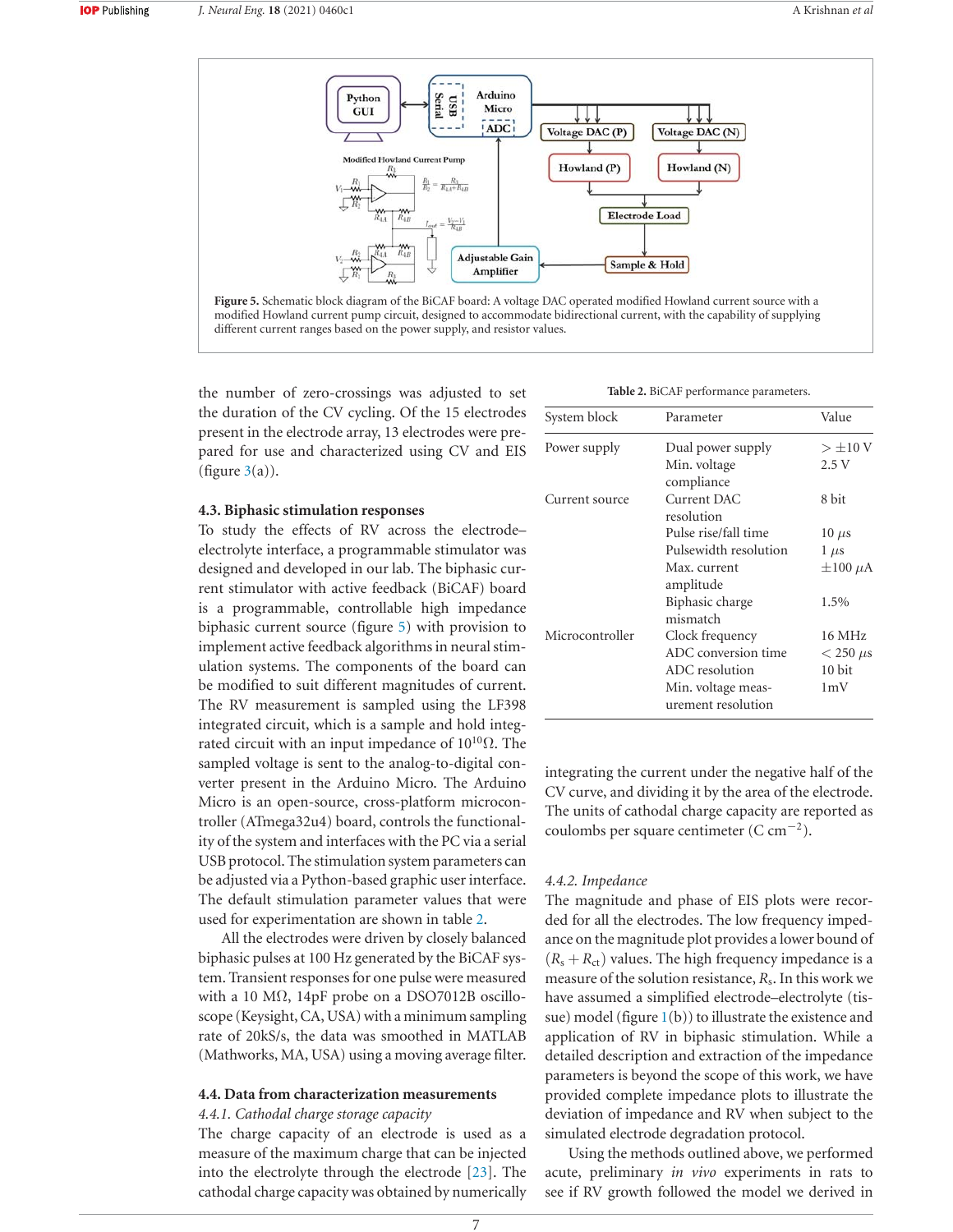

the number of zero-crossings was adjusted to set the duration of the CV cycling. Of the 15 electrodes present in the electrode array, 13 electrodes were prepared for use and characterized using CV and EIS (figure  $3(a)$ ).

#### **4.3. Biphasic stimulation responses**

To study the effects of RV across the electrodeelectrolyte interface, a programmable stimulator was designed and developed in our lab. The biphasic current stimulator with active feedback (BiCAF) board is a programmable, controllable high impedance biphasic current source (figure  $5$ ) with provision to implement active feedback algorithms in neural stimulation systems. The components of the board can be modified to suit different magnitudes of current. The RV measurement is sampled using the LF398 integrated circuit, which is a sample and hold integrated circuit with an input impedance of  $10^{10} \Omega$ . The sampled voltage is sent to the analog-to-digital converter present in the Arduino Micro. The Arduino Micro is an open-source, cross-platform microcontroller (ATmega32u4) board, controls the functionality of the system and interfaces with the PC via a serial USB protocol. The stimulation system parameters can be adjusted via a Python-based graphic user interface. The default stimulation parameter values that were used for experimentation are shown in table 2.

All the electrodes were driven by closely balanced biphasic pulses at 100 Hz generated by the BiCAF system. Transient responses for one pulse were measured with a 10  $\text{M}\Omega$ , 14pF probe on a DSO7012B oscilloscope (Keysight, CA, USA) with a minimum sampling rate of 20kS/s, the data was smoothed in MATLAB (Mathworks, MA, USA) using a moving average filter.

## **4.4. Data from characterization measurements**

## *#ATHODAL CHARGE STORAGE CAPACITY*

The charge capacity of an electrode is used as a measure of the maximum charge that can be injected into the electrolyte through the electrode  $[23]$ . The cathodal charge capacity was obtained by numerically

|  | Table 2. BiCAF performance parameters. |  |
|--|----------------------------------------|--|
|--|----------------------------------------|--|

| System block    | Parameter                                | Value           |
|-----------------|------------------------------------------|-----------------|
| Power supply    | Dual power supply                        | $>\pm 10$ V     |
|                 | Min. voltage<br>compliance               | 2.5V            |
| Current source  | Current DAC<br>resolution                | 8 bit           |
|                 | Pulse rise/fall time                     | $10 \mu s$      |
|                 | Pulsewidth resolution                    | $1 \mu s$       |
|                 | Max. current<br>amplitude                | $\pm 100 \mu A$ |
|                 | Biphasic charge<br>mismatch              | 1.5%            |
| Microcontroller | Clock frequency                          | 16 MHz          |
|                 | ADC conversion time                      | $<$ 250 $\mu$ s |
|                 | ADC resolution                           | 10 bit          |
|                 | Min. voltage meas-<br>urement resolution | 1mV             |

integrating the current under the negative half of the CV curve, and dividing it by the area of the electrode. The units of cathodal charge capacity are reported as coulombs per square centimeter  $(C \, \text{cm}^{-2})$ .

## 4.4.2. Impedance

The magnitude and phase of EIS plots were recorded for all the electrodes. The low frequency impedance on the magnitude plot provides a lower bound of  $(R_s + R_{ct})$  values. The high frequency impedance is a measure of the solution resistance,  $R_s$ . In this work we have assumed a simplified electrode-electrolyte (tissue) model (figure  $1(b)$ ) to illustrate the existence and application of RV in biphasic stimulation. While a detailed description and extraction of the impedance parameters is beyond the scope of this work, we have provided complete impedance plots to illustrate the deviation of impedance and RV when subject to the simulated electrode degradation protocol.

Using the methods outlined above, we performed acute, preliminary *in vivo* experiments in rats to see if RV growth followed the model we derived in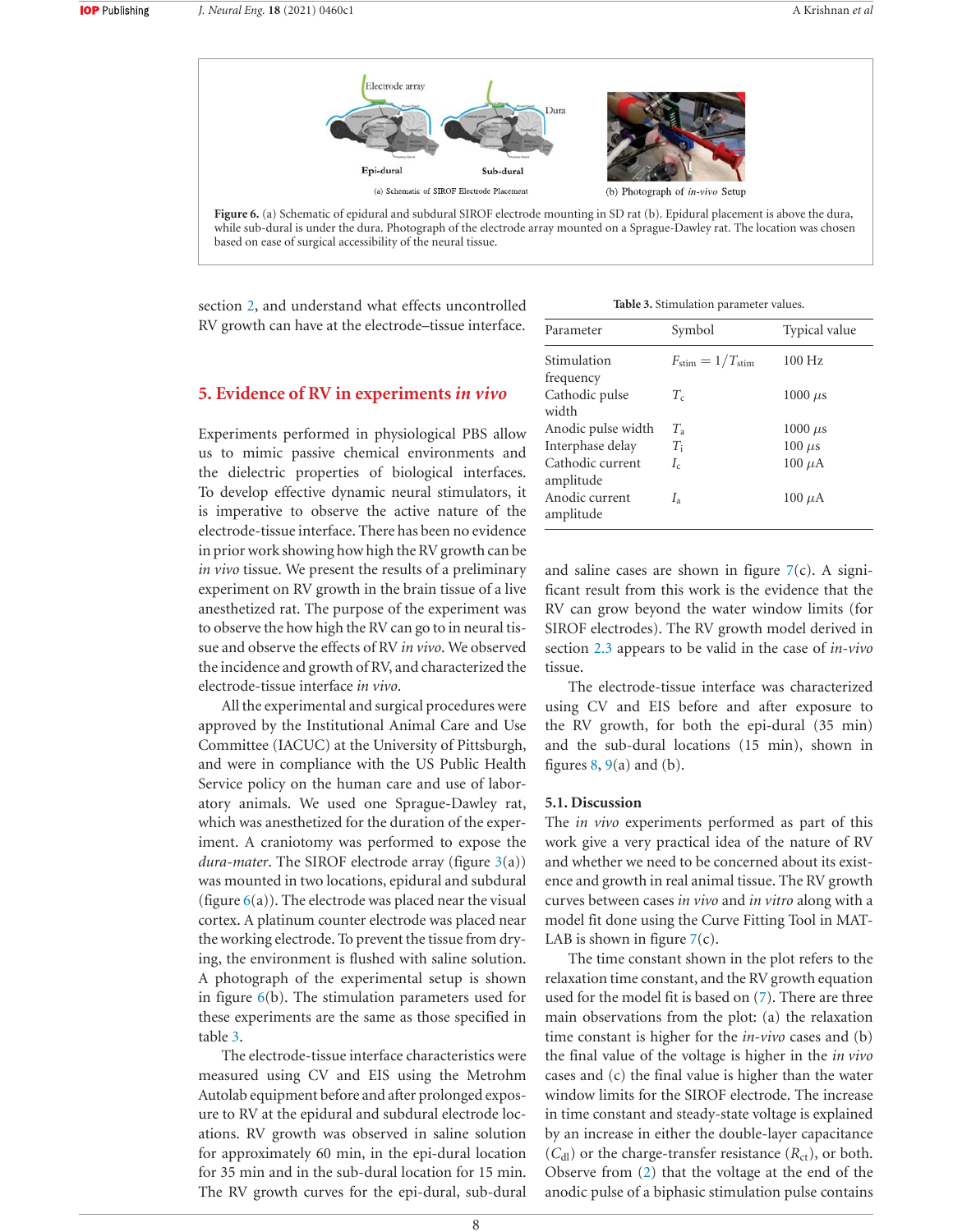

while sub-dural is under the dura. Photograph of the electrode array mounted on a Sprague-Dawley rat. The location was chosen based on ease of surgical accessibility of the neural tissue.

section 2, and understand what effects uncontrolled RV growth can have at the electrode-tissue interface.

Table 3. Stimulation parameter values.

## **5. Evidence of RV in experiments in vivo**

Experiments performed in physiological PBS allow us to mimic passive chemical environments and the dielectric properties of biological interfaces. To develop effective dynamic neural stimulators, it is imperative to observe the active nature of the electrode-tissue interface. There has been no evidence in prior work showing how high the RV growth can be *In vivo* tissue. We present the results of a preliminary experiment on RV growth in the brain tissue of a live anesthetized rat. The purpose of the experiment was to observe the how high the RV can go to in neural tissue and observe the effects of RV in vivo. We observed the incidence and growth of RV, and characterized the electrode-tissue interface in vivo.

All the experimental and surgical procedures were approved by the Institutional Animal Care and Use Committee (IACUC) at the University of Pittsburgh, and were in compliance with the US Public Health Service policy on the human care and use of laboratory animals. We used one Sprague-Dawley rat, which was anesthetized for the duration of the experiment. A craniotomy was performed to expose the *dura-mater*. The SIROF electrode array (figure  $3(a)$ ) was mounted in two locations, epidural and subdural (figure  $6(a)$ ). The electrode was placed near the visual cortex. A platinum counter electrode was placed near the working electrode. To prevent the tissue from drying, the environment is flushed with saline solution. A photograph of the experimental setup is shown in figure  $6(b)$ . The stimulation parameters used for these experiments are the same as those specified in table 3.

The electrode-tissue interface characteristics were measured using CV and EIS using the Metrohm Autolab equipment before and after prolonged exposure to RV at the epidural and subdural electrode locations. RV growth was observed in saline solution for approximately 60 min, in the epi-dural location for 35 min and in the sub-dural location for 15 min. The RV growth curves for the epi-dural, sub-dural

| Parameter                     | Symbol                                | Typical value |
|-------------------------------|---------------------------------------|---------------|
| Stimulation                   | $F_{\text{stim}} = 1/T_{\text{stim}}$ | $100$ Hz      |
| frequency                     |                                       |               |
| Cathodic pulse<br>width       | $T_c$                                 | $1000 \mu s$  |
|                               |                                       |               |
| Anodic pulse width            | $T_{\rm a}$                           | $1000 \mu s$  |
| Interphase delay              | $T_{\rm i}$                           | $100 \mu s$   |
| Cathodic current<br>amplitude | $I_c$                                 | $100 \mu A$   |
| Anodic current<br>amplitude   | $I_{\rm a}$                           | $100 \mu A$   |

and saline cases are shown in figure  $7(c)$ . A significant result from this work is the evidence that the RV can grow beyond the water window limits (for SIROF electrodes). The RV growth model derived in section 2.3 appears to be valid in the case of *in-vivo* tissue.

The electrode-tissue interface was characterized using CV and EIS before and after exposure to the RV growth, for both the epi-dural (35 min) and the sub-dural locations (15 min), shown in figures  $8, 9(a)$  and (b).

## 5.1. Discussion

The *in vivo* experiments performed as part of this work give a very practical idea of the nature of RV and whether we need to be concerned about its existence and growth in real animal tissue. The RV growth curves between cases *in vivo* and *in vitro* along with a model fit done using the Curve Fitting Tool in MAT-LAB is shown in figure  $7(c)$ .

The time constant shown in the plot refers to the relaxation time constant, and the RV growth equation used for the model fit is based on  $(7)$ . There are three main observations from the plot: (a) the relaxation time constant is higher for the *in-vivo* cases and (b) the final value of the voltage is higher in the *in vivo* cases and  $(c)$  the final value is higher than the water window limits for the SIROF electrode. The increase in time constant and steady-state voltage is explained by an increase in either the double-layer capacitance  $(C_{\rm dl})$  or the charge-transfer resistance  $(R_{\rm ct})$ , or both. Observe from  $(2)$  that the voltage at the end of the anodic pulse of a biphasic stimulation pulse contains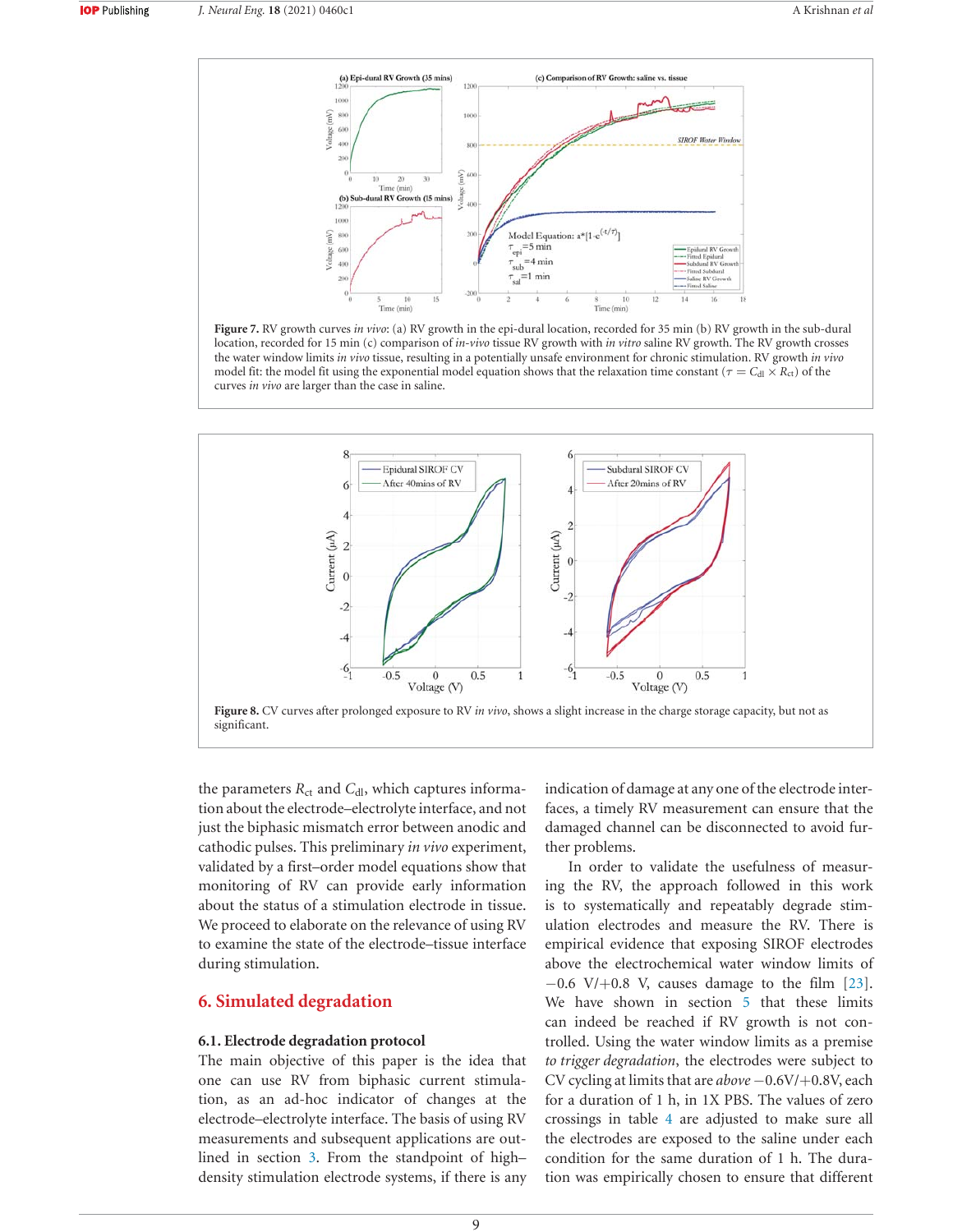





the parameters  $R_{\text{ct}}$  and  $C_{\text{dl}}$ , which captures information about the electrode-electrolyte interface, and not just the biphasic mismatch error between anodic and cathodic pulses. This preliminary *in vivo* experiment, validated by a first-order model equations show that monitoring of RV can provide early information about the status of a stimulation electrode in tissue. We proceed to elaborate on the relevance of using RV to examine the state of the electrode–tissue interface during stimulation.

# **6. Simulated degradation**

# **6.1. Electrode degradation protocol**

The main objective of this paper is the idea that one can use RV from biphasic current stimulation, as an ad-hoc indicator of changes at the electrode-electrolyte interface. The basis of using RV measurements and subsequent applications are outlined in section 3. From the standpoint of highdensity stimulation electrode systems, if there is any

indication of damage at any one of the electrode interfaces, a timely RV measurement can ensure that the damaged channel can be disconnected to avoid further problems.

In order to validate the usefulness of measuring the RV, the approach followed in this work is to systematically and repeatably degrade stimulation electrodes and measure the RV. There is empirical evidence that exposing SIROF electrodes above the electrochemical water window limits of  $-0.6$  V/ $+0.8$  V, causes damage to the film [23]. We have shown in section 5 that these limits can indeed be reached if RV growth is not controlled. Using the water window limits as a premise to trigger degradation, the electrodes were subject to CV cycling at limits that are *above* −0.6V/+0.8V, each for a duration of  $1 h$ , in  $1 X$  PBS. The values of zero crossings in table 4 are adjusted to make sure all the electrodes are exposed to the saline under each condition for the same duration of 1 h. The duration was empirically chosen to ensure that different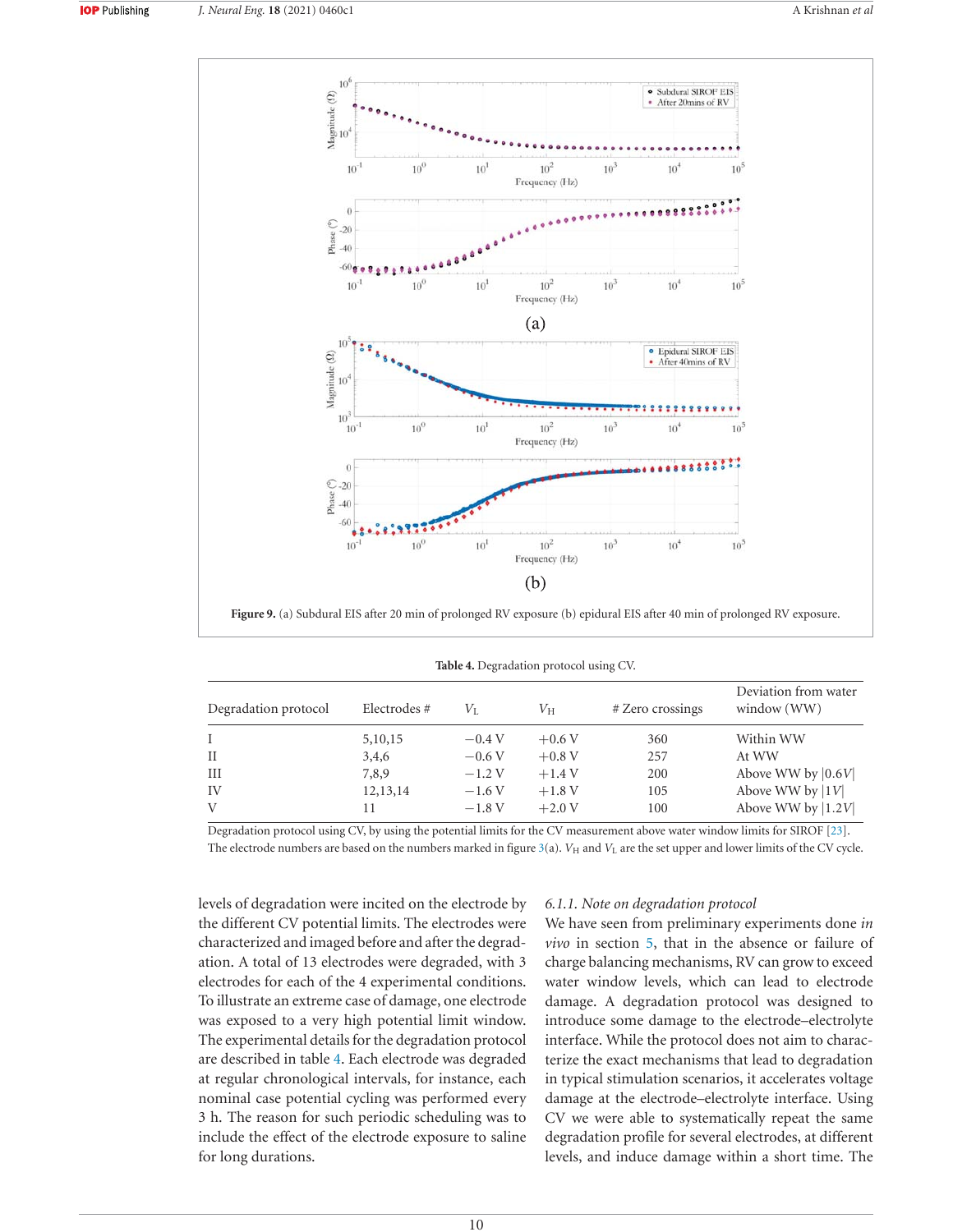

Figure 9. (a) Subdural EIS after 20 min of prolonged RV exposure (b) epidural EIS after 40 min of prolonged RV exposure.

| <b>THERE</b> I. Degradation protocol asing $\cup$ $\cdot$ . |             |          |             |                  |                                     |
|-------------------------------------------------------------|-------------|----------|-------------|------------------|-------------------------------------|
| Degradation protocol                                        | Electrodes# | Vī.      | $V_{\rm H}$ | # Zero crossings | Deviation from water<br>window (WW) |
| $\mathbf{I}$                                                | 5, 10, 15   | $-0.4V$  | $+0.6V$     | 360              | Within WW                           |
| H                                                           | 3,4,6       | $-0.6V$  | $+0.8$ V    | 257              | At WW                               |
| Ш                                                           | 7,8,9       | $-1.2V$  | $+1.4V$     | 200              | Above WW by $ 0.6V $                |
| IV                                                          | 12,13,14    | $-1.6V$  | $+1.8V$     | 105              | Above WW by $ 1V $                  |
| V                                                           | 11          | $-1.8 V$ | $+2.0V$     | 100              | Above WW by $ 1.2V $                |

|  | Table 4. Degradation protocol using CV. |  |  |
|--|-----------------------------------------|--|--|
|--|-----------------------------------------|--|--|

Degradation protocol using CV, by using the potential limits for the CV measurement above water window limits for SIROF [23]. The electrode numbers are based on the numbers marked in figure 3(a). V<sub>H</sub> and V<sub>L</sub> are the set upper and lower limits of the CV cycle.

levels of degradation were incited on the electrode by the different CV potential limits. The electrodes were characterized and imaged before and after the degradation. A total of 13 electrodes were degraded, with 3 electrodes for each of the 4 experimental conditions. To illustrate an extreme case of damage, one electrode was exposed to a very high potential limit window. The experimental details for the degradation protocol are described in table 4. Each electrode was degraded at regular chronological intervals, for instance, each nominal case potential cycling was performed every 3 h. The reason for such periodic scheduling was to include the effect of the electrode exposure to saline for long durations.

# $6.1.1$ *. Note on degradation protocol*

We have seen from preliminary experiments done *in in section*  $5$ *, that in the absence or failure of* charge balancing mechanisms, RV can grow to exceed water window levels, which can lead to electrode damage. A degradation protocol was designed to introduce some damage to the electrode-electrolyte interface. While the protocol does not aim to characterize the exact mechanisms that lead to degradation in typical stimulation scenarios, it accelerates voltage damage at the electrode-electrolyte interface. Using CV we were able to systematically repeat the same degradation profile for several electrodes, at different levels, and induce damage within a short time. The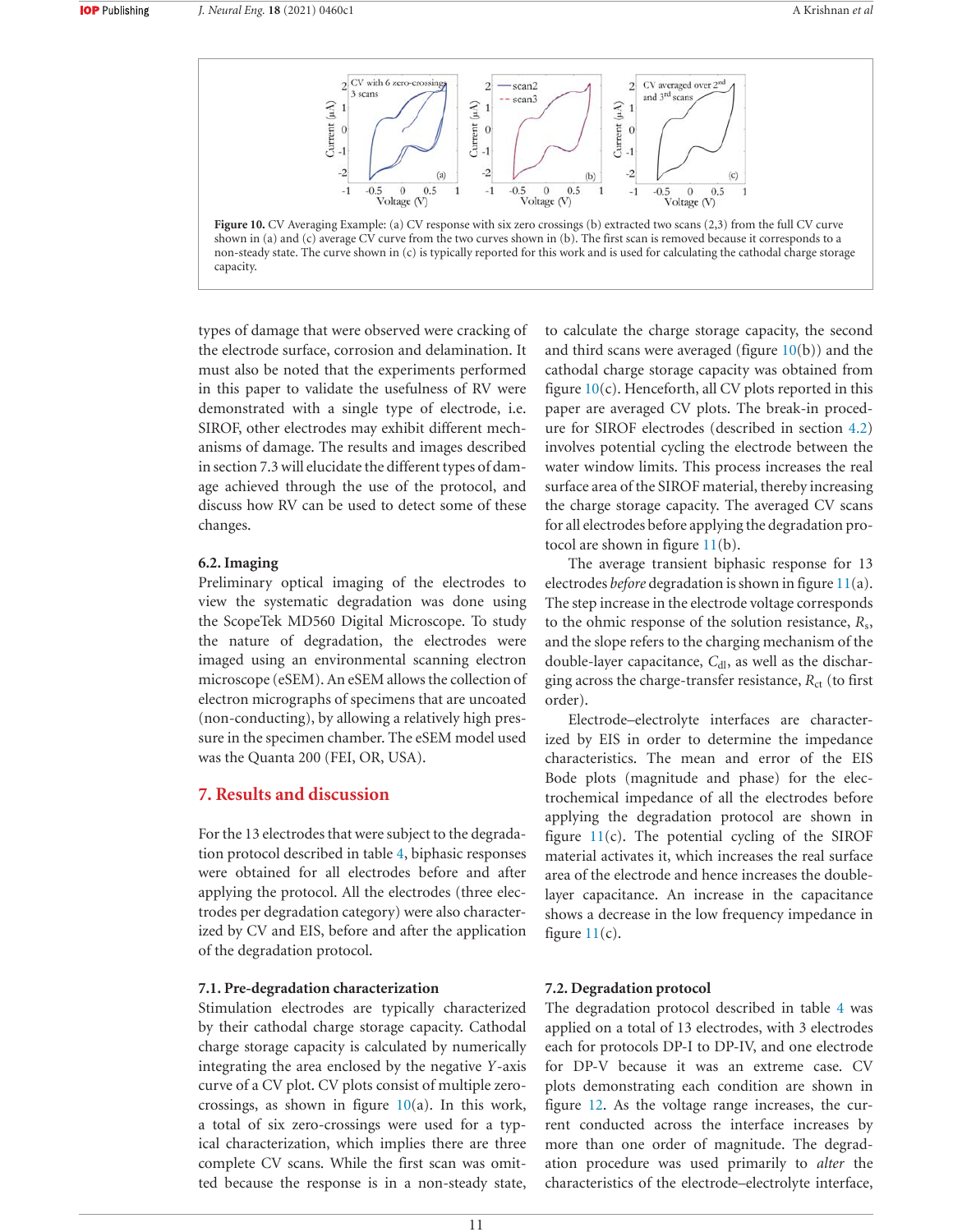

types of damage that were observed were cracking of the electrode surface, corrosion and delamination. It must also be noted that the experiments performed in this paper to validate the usefulness of RV were demonstrated with a single type of electrode, i.e. SIROF, other electrodes may exhibit different mechanisms of damage. The results and images described in section 7.3 will elucidate the different types of damage achieved through the use of the protocol, and discuss how RV can be used to detect some of these changes.

## **6.2.** Imaging

Preliminary optical imaging of the electrodes to view the systematic degradation was done using the ScopeTek MD560 Digital Microscope. To study the nature of degradation, the electrodes were imaged using an environmental scanning electron microscope (eSEM). An eSEM allows the collection of electron micrographs of specimens that are uncoated (non-conducting), by allowing a relatively high pressure in the specimen chamber. The eSEM model used was the Quanta 200 (FEI, OR, USA).

# **7. Results and discussion**

For the 13 electrodes that were subject to the degradation protocol described in table 4, biphasic responses were obtained for all electrodes before and after applying the protocol. All the electrodes (three electrodes per degradation category) were also characterized by CV and EIS, before and after the application of the degradation protocol.

## **7.1. Pre-degradation characterization**

Stimulation electrodes are typically characterized by their cathodal charge storage capacity. Cathodal charge storage capacity is calculated by numerically integrating the area enclosed by the negative *Y*-axis curve of a CV plot. CV plots consist of multiple zerocrossings, as shown in figure  $10(a)$ . In this work, a total of six zero-crossings were used for a typical characterization, which implies there are three complete CV scans. While the first scan was omitted because the response is in a non-steady state, to calculate the charge storage capacity, the second and third scans were averaged (figure  $10(b)$ ) and the cathodal charge storage capacity was obtained from figure  $10(c)$ . Henceforth, all CV plots reported in this paper are averaged CV plots. The break-in procedure for SIROF electrodes (described in section 4.2) involves potential cycling the electrode between the water window limits. This process increases the real surface area of the SIROF material, thereby increasing the charge storage capacity. The averaged CV scans for all electrodes before applying the degradation protocol are shown in figure  $11(b)$ .

The average transient biphasic response for 13 electrodes *before* degradation is shown in figure 11(a). The step increase in the electrode voltage corresponds to the ohmic response of the solution resistance,  $R_s$ , and the slope refers to the charging mechanism of the double-layer capacitance, C<sub>dl</sub>, as well as the discharging across the charge-transfer resistance,  $R_{\text{ct}}$  (to first order).

Electrode-electrolyte interfaces are characterized by EIS in order to determine the impedance characteristics. The mean and error of the EIS Bode plots (magnitude and phase) for the electrochemical impedance of all the electrodes before applying the degradation protocol are shown in figure  $11(c)$ . The potential cycling of the SIROF material activates it, which increases the real surface area of the electrode and hence increases the doublelayer capacitance. An increase in the capacitance shows a decrease in the low frequency impedance in figure  $11(c)$ .

# **7.2. Degradation protocol**

The degradation protocol described in table 4 was applied on a total of 13 electrodes, with 3 electrodes each for protocols DP-I to DP-IV, and one electrode for DP-V because it was an extreme case. CV plots demonstrating each condition are shown in figure 12. As the voltage range increases, the current conducted across the interface increases by more than one order of magnitude. The degradation procedure was used primarily to *alter* the characteristics of the electrode-electrolyte interface,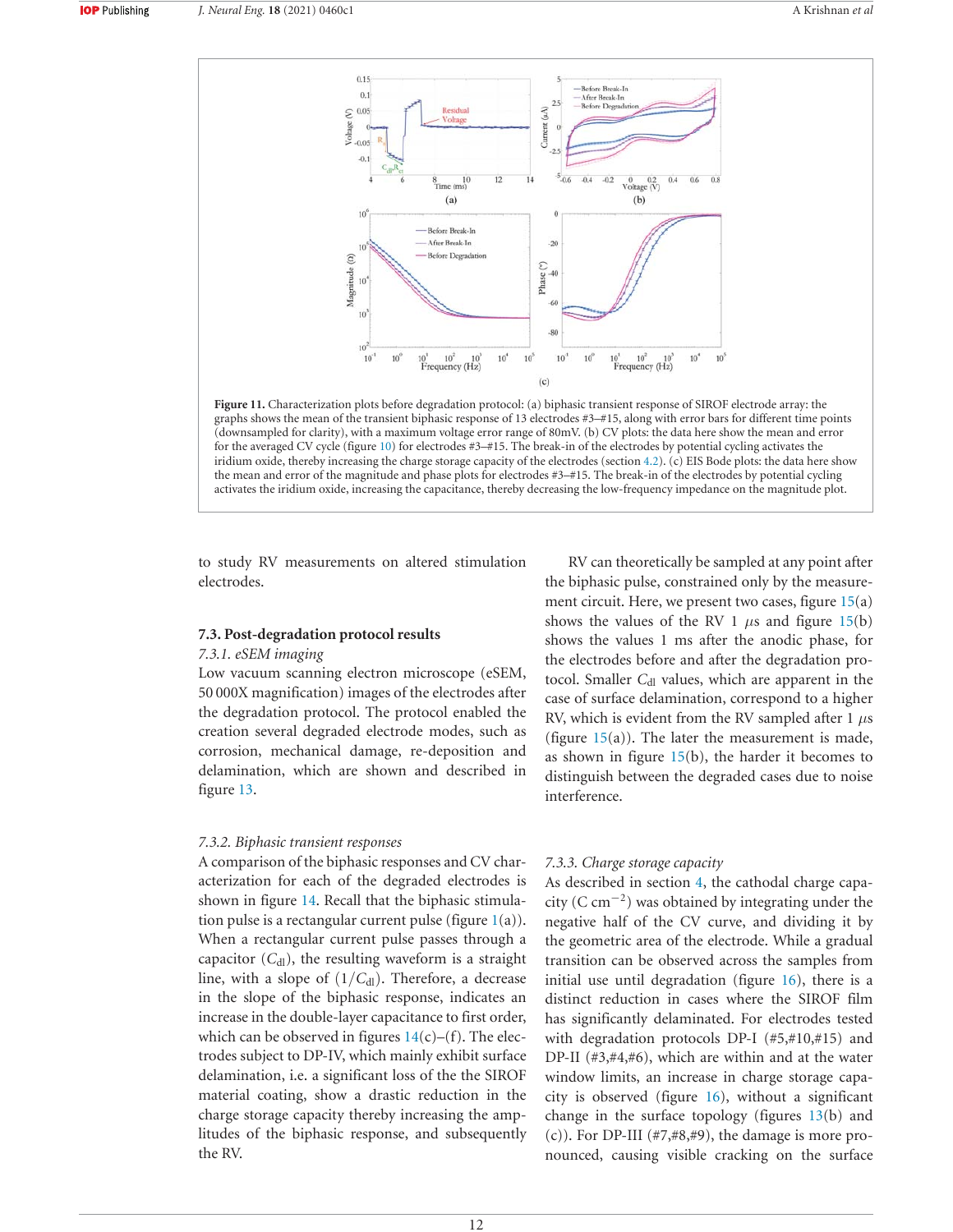

Figure 11. Characterization plots before degradation protocol: (a) biphasic transient response of SIROF electrode array: the graphs shows the mean of the transient biphasic response of 13 electrodes #3-#15, along with error bars for different time points (downsampled for clarity), with a maximum voltage error range of 80mV. (b) CV plots: the data here show the mean and error for the averaged CV cycle (figure 10) for electrodes  $#3 - #15$ . The break-in of the electrodes by potential cycling activates the iridium oxide, thereby increasing the charge storage capacity of the electrodes (section 4.2). (c) EIS Bode plots: the data here show the mean and error of the magnitude and phase plots for electrodes  $\#3-\#15$ . The break-in of the electrodes by potential cycling activates the iridium oxide, increasing the capacitance, thereby decreasing the low-frequency impedance on the magnitude plot.

to study RV measurements on altered stimulation electrodes.

# **7.3. Post-degradation protocol results**

#### *F.3.1.* eSEM imaging

Low vacuum scanning electron microscope (eSEM, 50 000X magnification) images of the electrodes after the degradation protocol. The protocol enabled the creation several degraded electrode modes, such as corrosion, mechanical damage, re-deposition and delamination, which are shown and described in figure 13.

## 7.3.2. Biphasic transient responses

A comparison of the biphasic responses and CV characterization for each of the degraded electrodes is shown in figure 14. Recall that the biphasic stimulation pulse is a rectangular current pulse (figure  $1(a)$ ). When a rectangular current pulse passes through a capacitor  $(C_{\rm dl})$ , the resulting waveform is a straight line, with a slope of  $(1/C_{dl})$ . Therefore, a decrease in the slope of the biphasic response, indicates an increase in the double-layer capacitance to first order, which can be observed in figures  $14(c)$ –(f). The electrodes subject to DP-IV, which mainly exhibit surface delamination, i.e. a significant loss of the the SIROF material coating, show a drastic reduction in the charge storage capacity thereby increasing the amplitudes of the biphasic response, and subsequently the RV.

RV can theoretically be sampled at any point after the biphasic pulse, constrained only by the measurement circuit. Here, we present two cases, figure  $15(a)$ shows the values of the RV 1  $\mu$ s and figure 15(b) shows the values 1 ms after the anodic phase, for the electrodes before and after the degradation protocol. Smaller C<sub>dl</sub> values, which are apparent in the case of surface delamination, correspond to a higher RV, which is evident from the RV sampled after 1  $\mu$ s (figure  $15(a)$ ). The later the measurement is made, as shown in figure  $15(b)$ , the harder it becomes to distinguish between the degraded cases due to noise interference.

## 7.3.3. Charge storage capacity

As described in section 4, the cathodal charge capacity ( $C \text{ cm}^{-2}$ ) was obtained by integrating under the negative half of the CV curve, and dividing it by the geometric area of the electrode. While a gradual transition can be observed across the samples from initial use until degradation (figure  $16$ ), there is a distinct reduction in cases where the SIROF film has significantly delaminated. For electrodes tested with degradation protocols DP-I  $(\#5, \#10, \#15)$  and DP-II  $(\#3, \#4, \#6)$ , which are within and at the water window limits, an increase in charge storage capacity is observed (figure  $16$ ), without a significant change in the surface topology (figures  $13(b)$  and  $(c)$ ). For DP-III (#7,#8,#9), the damage is more pronounced, causing visible cracking on the surface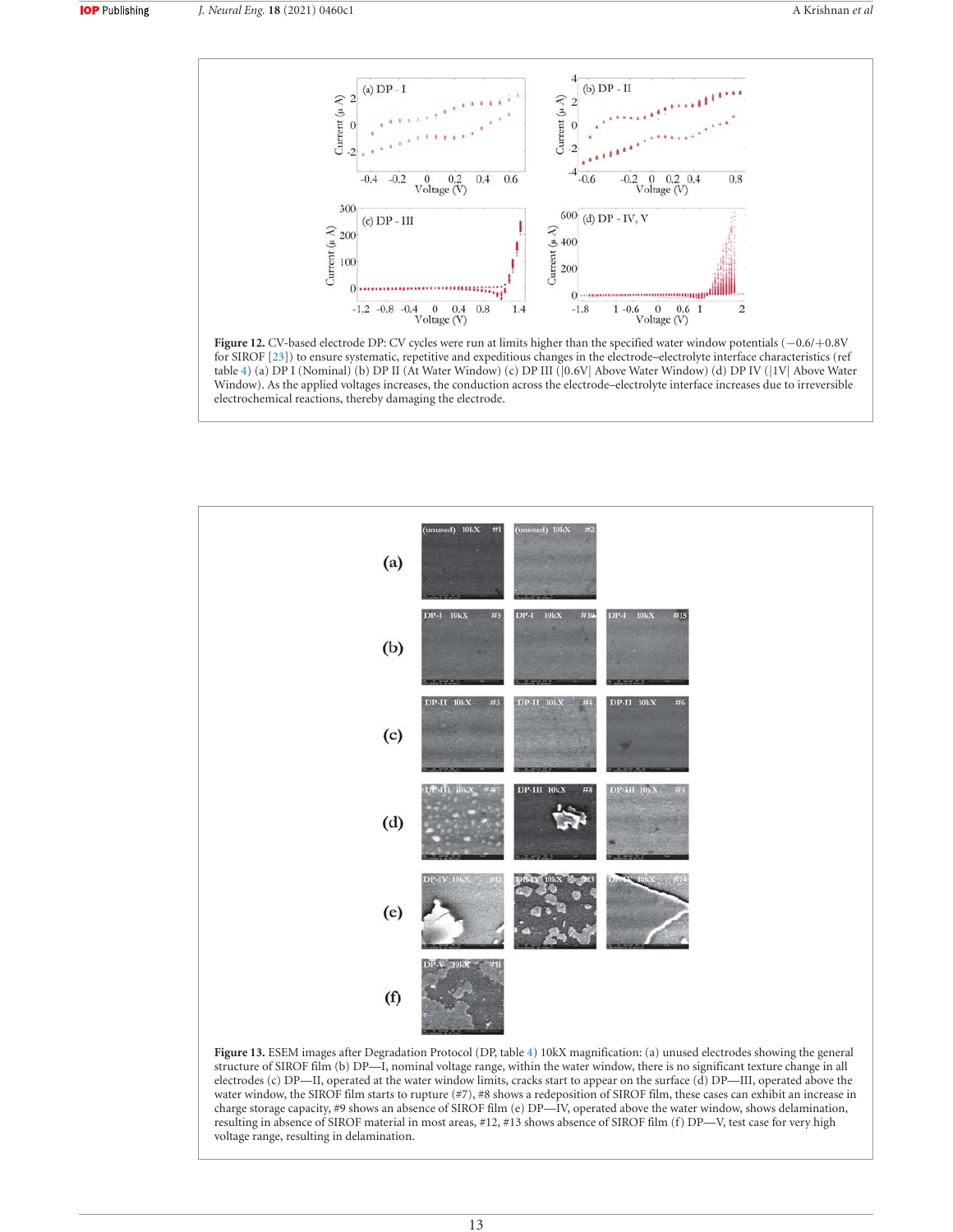





resulting in absence of SIROF material in most areas, #12, #13 shows absence of SIROF film (f) DP-V, test case for very high voltage range, resulting in delamination.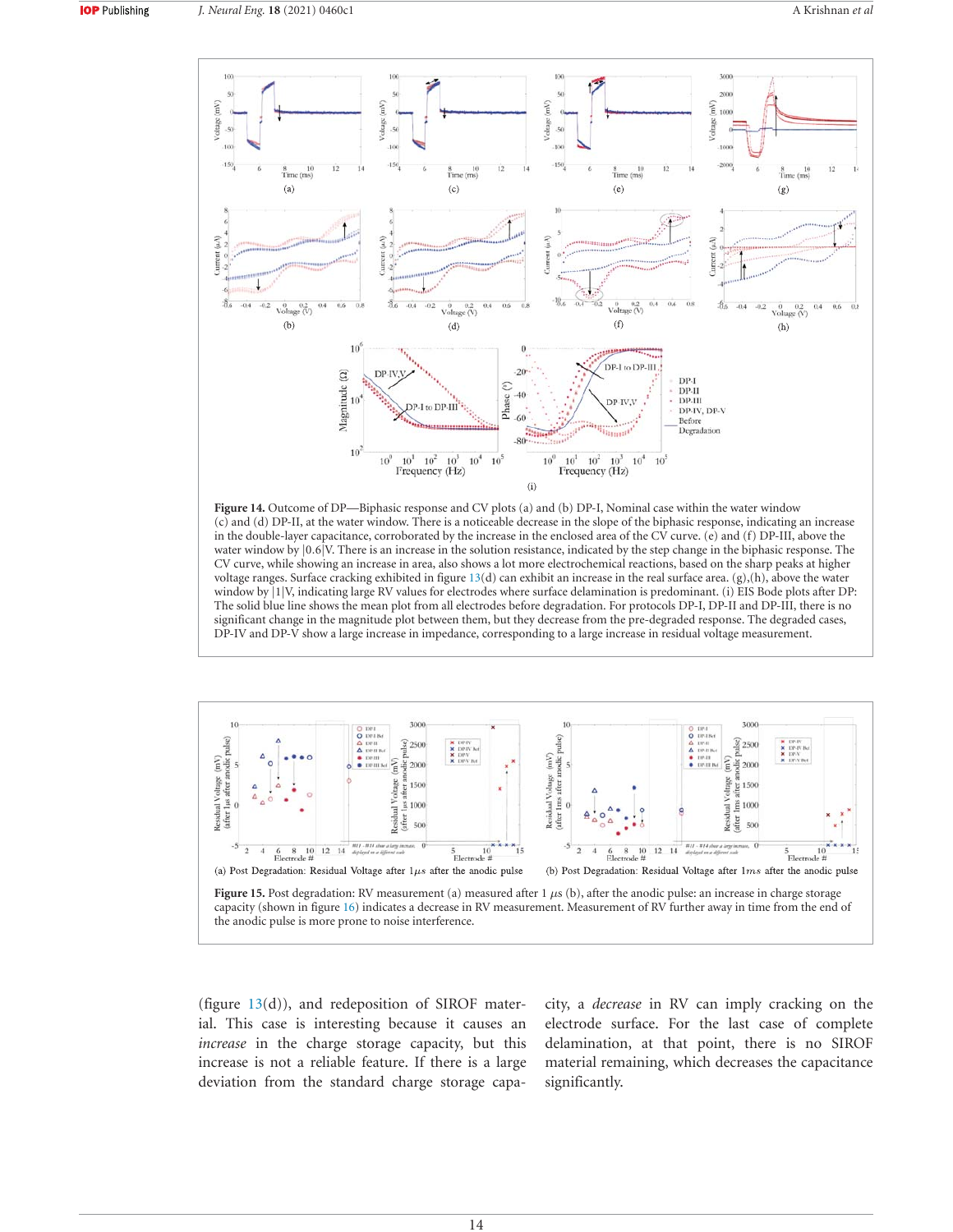

Figure 14. Outcome of DP—Biphasic response and CV plots (a) and (b) DP-I, Nominal case within the water window (c) and (d) DP-II, at the water window. There is a noticeable decrease in the slope of the biphasic response, indicating an increase in the double-layer capacitance, corroborated by the increase in the enclosed area of the CV curve. (e) and (f) DP-III, above the water window by  $|0.6|V$ . There is an increase in the solution resistance, indicated by the step change in the biphasic response. The CV curve, while showing an increase in area, also shows a lot more electrochemical reactions, based on the sharp peaks at higher voltage ranges. Surface cracking exhibited in figure  $13(d)$  can exhibit an increase in the real surface area. (g),(h), above the water window by |1|V, indicating large RV values for electrodes where surface delamination is predominant. (i) EIS Bode plots after DP: The solid blue line shows the mean plot from all electrodes before degradation. For protocols DP-I, DP-II and DP-III, there is no significant change in the magnitude plot between them, but they decrease from the pre-degraded response. The degraded cases, DP-IV and DP-V show a large increase in impedance, corresponding to a large increase in residual voltage measurement.



(figure  $13(d)$ ), and redeposition of SIROF material. This case is interesting because it causes an *increase* in the charge storage capacity, but this increase is not a reliable feature. If there is a large deviation from the standard charge storage capacity, a *decrease* in RV can imply cracking on the electrode surface. For the last case of complete delamination, at that point, there is no SIROF material remaining, which decreases the capacitance significantly.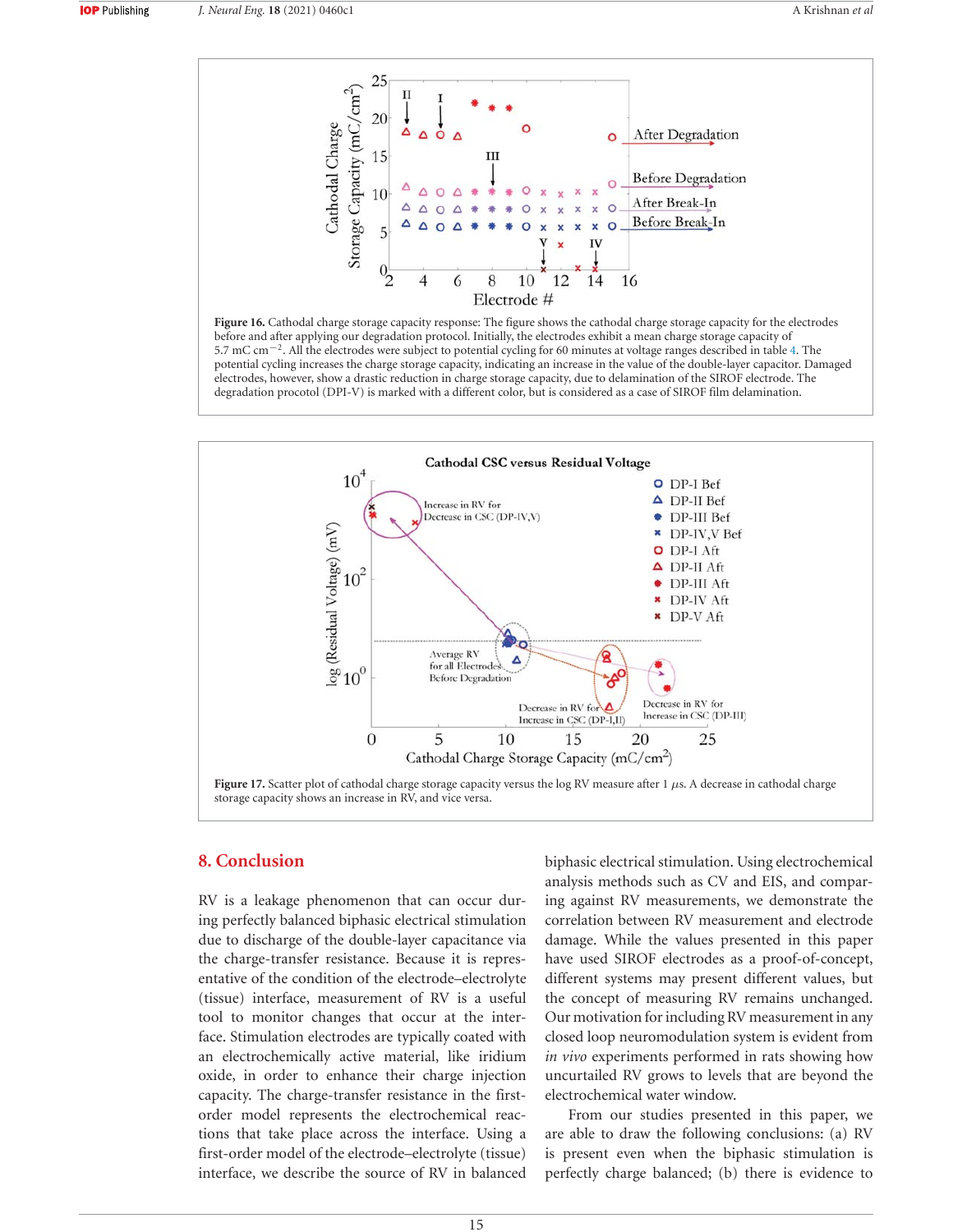

Figure 16. Cathodal charge storage capacity response: The figure shows the cathodal charge storage capacity for the electrodes before and after applying our degradation protocol. Initially, the electrodes exhibit a mean charge storage capacity of 5.7 mC cm<sup>−2</sup>. All the electrodes were subject to potential cycling for 60 minutes at voltage ranges described in table 4. The potential cycling increases the charge storage capacity, indicating an increase in the value of the double-layer capacitor. Damaged electrodes, however, show a drastic reduction in charge storage capacity, due to delamination of the SIROF electrode. The degradation procotol (DPI-V) is marked with a different color, but is considered as a case of SIROF film delamination.



## **8. Conclusion**

RV is a leakage phenomenon that can occur during perfectly balanced biphasic electrical stimulation due to discharge of the double-layer capacitance via the charge-transfer resistance. Because it is representative of the condition of the electrode-electrolyte (tissue) interface, measurement of RV is a useful tool to monitor changes that occur at the interface. Stimulation electrodes are typically coated with an electrochemically active material, like iridium oxide, in order to enhance their charge injection capacity. The charge-transfer resistance in the firstorder model represents the electrochemical reactions that take place across the interface. Using a first-order model of the electrode-electrolyte (tissue) interface, we describe the source of RV in balanced biphasic electrical stimulation. Using electrochemical analysis methods such as CV and EIS, and comparing against RV measurements, we demonstrate the correlation between RV measurement and electrode damage. While the values presented in this paper have used SIROF electrodes as a proof-of-concept, different systems may present different values, but the concept of measuring RV remains unchanged. Our motivation for including RV measurement in any closed loop neuromodulation system is evident from *in vivo* experiments performed in rats showing how uncurtailed RV grows to levels that are beyond the electrochemical water window.

From our studies presented in this paper, we are able to draw the following conclusions:  $(a)$  RV is present even when the biphasic stimulation is perfectly charge balanced; (b) there is evidence to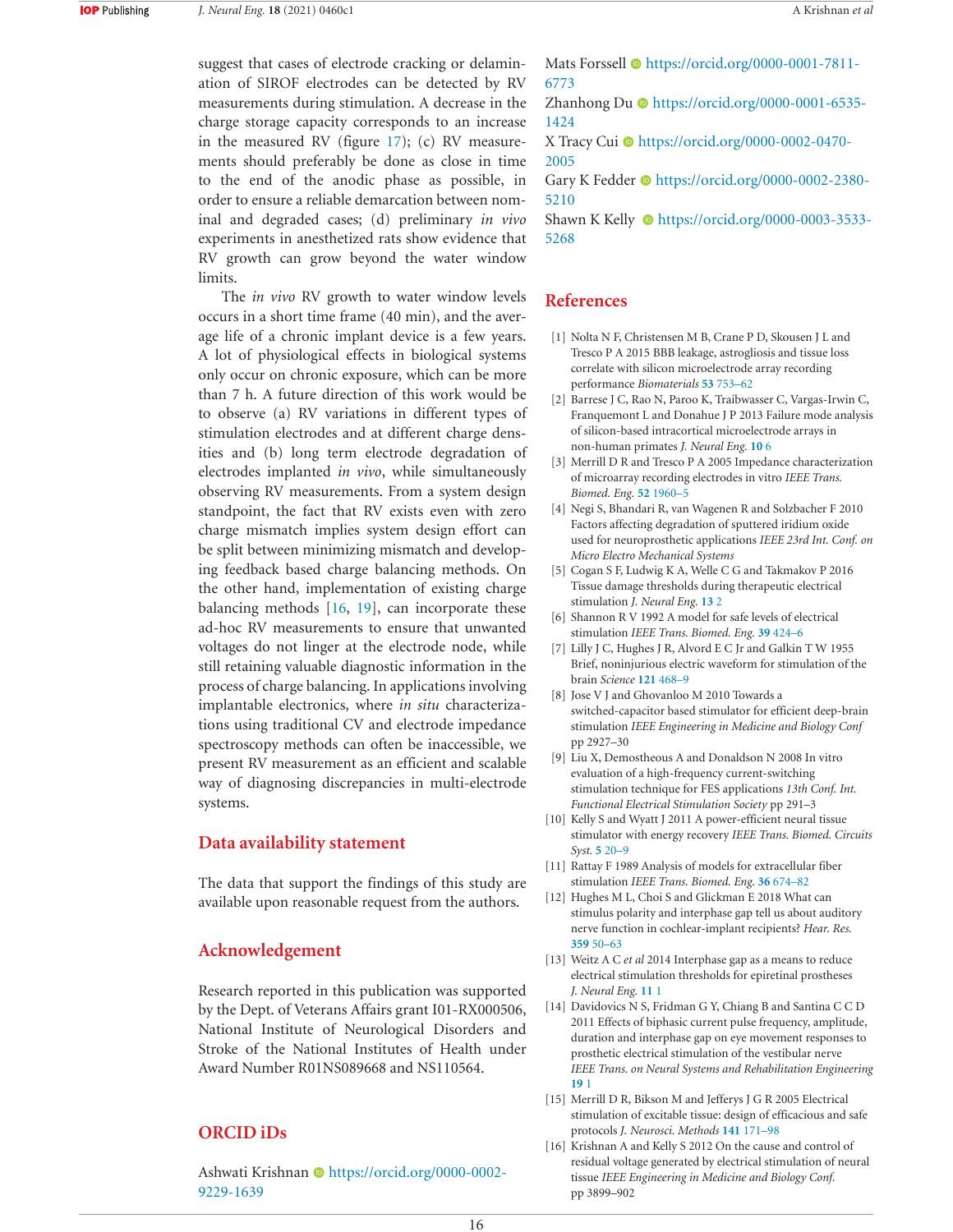suggest that cases of electrode cracking or delamination of SIROF electrodes can be detected by RV measurements during stimulation. A decrease in the charge storage capacity corresponds to an increase in the measured RV (figure  $17$ ); (c) RV measurements should preferably be done as close in time to the end of the anodic phase as possible, in order to ensure a reliable demarcation between nominal and degraded cases; (d) preliminary *in vivo* experiments in anesthetized rats show evidence that RV growth can grow beyond the water window limits.

The *in vivo* RV growth to water window levels occurs in a short time frame (40 min), and the average life of a chronic implant device is a few years. A lot of physiological effects in biological systems only occur on chronic exposure, which can be more than 7 h. A future direction of this work would be to observe (a) RV variations in different types of stimulation electrodes and at different charge densities and (b) long term electrode degradation of electrodes implanted *in vivo*, while simultaneously observing RV measurements. From a system design standpoint, the fact that RV exists even with zero charge mismatch implies system design effort can be split between minimizing mismatch and developing feedback based charge balancing methods. On the other hand, implementation of existing charge balancing methods  $[16, 19]$ , can incorporate these ad-hoc RV measurements to ensure that unwanted voltages do not linger at the electrode node, while still retaining valuable diagnostic information in the process of charge balancing. In applications involving implantable electronics, where *in situ* characterizations using traditional CV and electrode impedance spectroscopy methods can often be inaccessible, we present RV measurement as an efficient and scalable way of diagnosing discrepancies in multi-electrode systems.

## **Data availability statement**

The data that support the findings of this study are available upon reasonable request from the authors.

## **Acknowledgement**

Research reported in this publication was supported by the Dept. of Veterans Affairs grant I01-RX000506, National Institute of Neurological Disorders and Stroke of the National Institutes of Health under Award Number R01NS089668 and NS110564.

# **ORCID** iDs

Ashwati Krishnan Dhttps://orcid.org/0000-0002-9229-1639

Mats Forssell Chttps://orcid.org/0000-0001-7811-6773

Zhanhong Du @ https://orcid.org/0000-0001-6535-1424

X Tracy Cui lo https://orcid.org/0000-0002-0470-2005

Gary K Fedder  $\odot$  https://orcid.org/0000-0002-2380-5210

Shawn K Kelly  $\bullet$  https://orcid.org/0000-0003-3533-5268

# **References**

- [1] Nolta N F, Christensen M B, Crane P D, Skousen J L and Tresco P A 2015 BBB leakage, astrogliosis and tissue loss correlate with silicon microelectrode array recording performance *Biomaterials* 53 753-62
- [2] Barrese J C, Rao N, Paroo K, Traibwasser C, Vargas-Irwin C, Franquemont L and Donahue J P 2013 Failure mode analysis of silicon-based intracortical microelectrode arrays in non-human primates *J. Neural Eng.* 10 6
- [3] Merrill D R and Tresco P A 2005 Impedance characterization of microarray recording electrodes in vitro IEEE Trans. Biomed. Eng. 52 1960-5
- [4] Negi S, Bhandari R, van Wagenen R and Solzbacher F 2010 Factors affecting degradation of sputtered iridium oxide used for neuroprosthetic applications *IEEE 23rd Int. Conf. on Micro Electro Mechanical Systems*
- [5] Cogan S F, Ludwig K A, Welle C G and Takmakov P 2016 Tissue damage thresholds during therapeutic electrical stimulation *J. Neural Eng.* 13 2
- [6] Shannon R V 1992 A model for safe levels of electrical stimulation *IEEE Trans. Biomed. Eng.* 39 424-6
- [7] Lilly J C, Hughes J R, Alvord E C Jr and Galkin T W 1955 Brief, noninjurious electric waveform for stimulation of the brain *Science* 121 468-9
- [8] Jose V J and Ghovanloo M 2010 Towards a switched-capacitor based stimulator for efficient deep-brain stimulation *IEEE Engineering in Medicine and Biology Conf* pp 2927-30
- [9] Liu X, Demostheous A and Donaldson N 2008 In vitro evaluation of a high-frequency current-switching stimulation technique for FES applications 13th Conf. Int. *Functional Electrical Stimulation Society* pp 291-3
- [10] Kelly S and Wyatt J 2011 A power-efficient neural tissue stimulator with energy recovery *IEEE Trans. Biomed. Circuits*  $Svst. 520 - 9$
- [11] Rattay F 1989 Analysis of models for extracellular fiber stimulation *IEEE Trans. Biomed. Eng.* 36 674-82
- [12] Hughes M L, Choi S and Glickman E 2018 What can stimulus polarity and interphase gap tell us about auditory nerve function in cochlear-implant recipients? Hear. Res. 359 50 - 63
- [13] Weitz A C et al 2014 Interphase gap as a means to reduce electrical stimulation thresholds for epiretinal prostheses *J. Neural Eng.* 11 1
- [14] Davidovics N S, Fridman G Y, Chiang B and Santina C C D 2011 Effects of biphasic current pulse frequency, amplitude, duration and interphase gap on eye movement responses to prosthetic electrical stimulation of the vestibular nerve *IEEE Trans. on Neural Systems and Rehabilitation Engineering*  $19<sub>1</sub>$
- [15] Merrill D R, Bikson M and Jefferys J G R 2005 Electrical stimulation of excitable tissue: design of efficacious and safe protocols *J. Neurosci. Methods* 141 171-98
- [16] Krishnan A and Kelly S 2012 On the cause and control of residual voltage generated by electrical stimulation of neural tissue *IEEE Engineering in Medicine and Biology Conf.* pp 3899-902